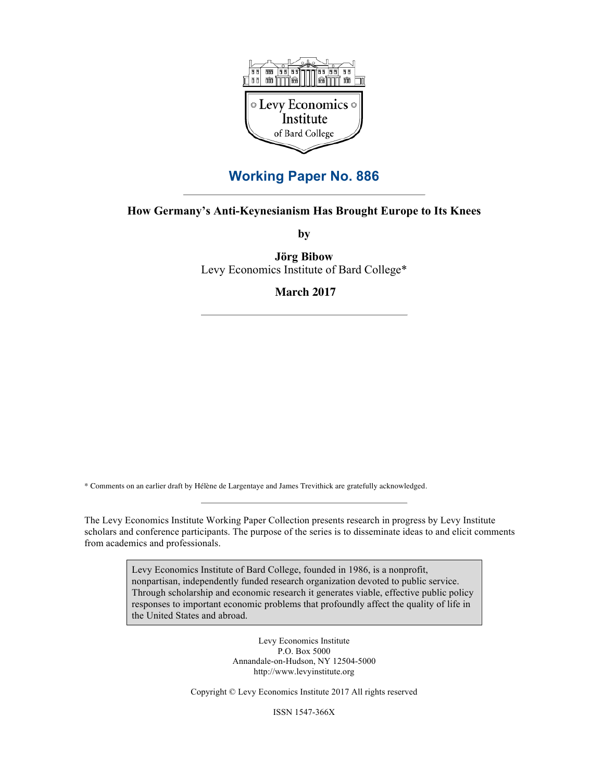

## **Working Paper No. 886**

## **How Germany's Anti-Keynesianism Has Brought Europe to Its Knees**

**by**

**Jörg Bibow** Levy Economics Institute of Bard College\*

**March 2017**

\* Comments on an earlier draft by Hélène de Largentaye and James Trevithick are gratefully acknowledged.

The Levy Economics Institute Working Paper Collection presents research in progress by Levy Institute scholars and conference participants. The purpose of the series is to disseminate ideas to and elicit comments from academics and professionals.

> Levy Economics Institute of Bard College, founded in 1986, is a nonprofit, nonpartisan, independently funded research organization devoted to public service. Through scholarship and economic research it generates viable, effective public policy responses to important economic problems that profoundly affect the quality of life in the United States and abroad.

> > Levy Economics Institute P.O. Box 5000 Annandale-on-Hudson, NY 12504-5000 http://www.levyinstitute.org

Copyright © Levy Economics Institute 2017 All rights reserved

ISSN 1547-366X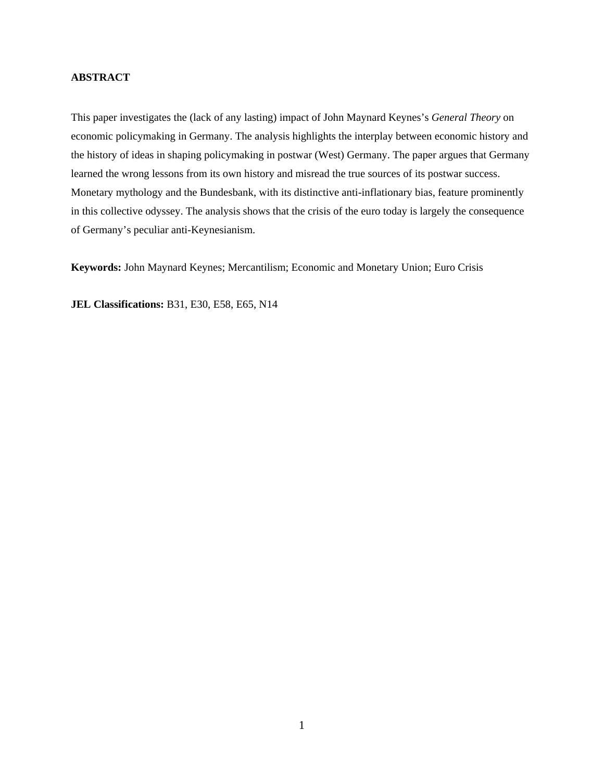#### **ABSTRACT**

This paper investigates the (lack of any lasting) impact of John Maynard Keynes's *General Theory* on economic policymaking in Germany. The analysis highlights the interplay between economic history and the history of ideas in shaping policymaking in postwar (West) Germany. The paper argues that Germany learned the wrong lessons from its own history and misread the true sources of its postwar success. Monetary mythology and the Bundesbank, with its distinctive anti-inflationary bias, feature prominently in this collective odyssey. The analysis shows that the crisis of the euro today is largely the consequence of Germany's peculiar anti-Keynesianism.

**Keywords:** John Maynard Keynes; Mercantilism; Economic and Monetary Union; Euro Crisis

**JEL Classifications:** B31, E30, E58, E65, N14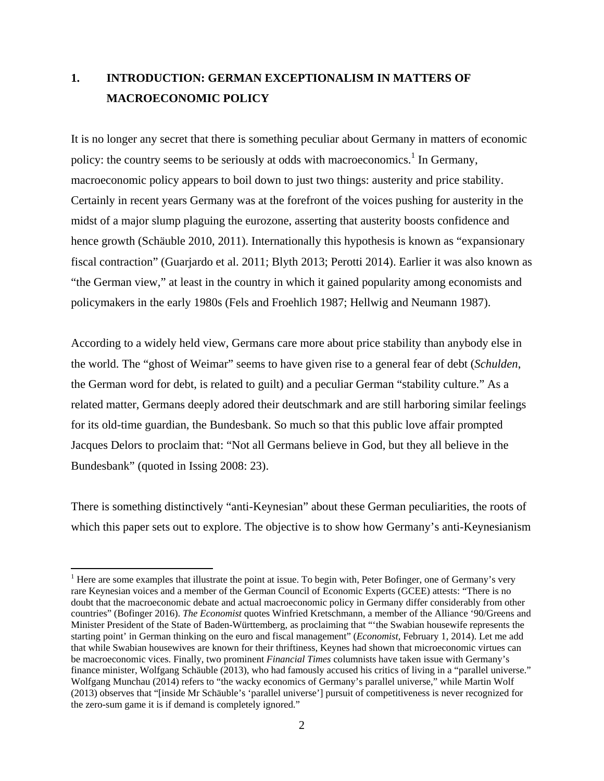# **1. INTRODUCTION: GERMAN EXCEPTIONALISM IN MATTERS OF MACROECONOMIC POLICY**

It is no longer any secret that there is something peculiar about Germany in matters of economic policy: the country seems to be seriously at odds with macroeconomics.<sup>1</sup> In Germany, macroeconomic policy appears to boil down to just two things: austerity and price stability. Certainly in recent years Germany was at the forefront of the voices pushing for austerity in the midst of a major slump plaguing the eurozone, asserting that austerity boosts confidence and hence growth (Schäuble 2010, 2011). Internationally this hypothesis is known as "expansionary" fiscal contraction" (Guarjardo et al. 2011; Blyth 2013; Perotti 2014). Earlier it was also known as "the German view," at least in the country in which it gained popularity among economists and policymakers in the early 1980s (Fels and Froehlich 1987; Hellwig and Neumann 1987).

According to a widely held view, Germans care more about price stability than anybody else in the world. The "ghost of Weimar" seems to have given rise to a general fear of debt (*Schulden*, the German word for debt, is related to guilt) and a peculiar German "stability culture." As a related matter, Germans deeply adored their deutschmark and are still harboring similar feelings for its old-time guardian, the Bundesbank. So much so that this public love affair prompted Jacques Delors to proclaim that: "Not all Germans believe in God, but they all believe in the Bundesbank" (quoted in Issing 2008: 23).

There is something distinctively "anti-Keynesian" about these German peculiarities, the roots of which this paper sets out to explore. The objective is to show how Germany's anti-Keynesianism

 $<sup>1</sup>$  Here are some examples that illustrate the point at issue. To begin with, Peter Bofinger, one of Germany's very</sup> rare Keynesian voices and a member of the German Council of Economic Experts (GCEE) attests: "There is no doubt that the macroeconomic debate and actual macroeconomic policy in Germany differ considerably from other countries" (Bofinger 2016). *The Economist* quotes Winfried Kretschmann, a member of the Alliance '90/Greens and Minister President of the State of Baden-Württemberg, as proclaiming that "'the Swabian housewife represents the starting point' in German thinking on the euro and fiscal management" (*Economist,* February 1, 2014). Let me add that while Swabian housewives are known for their thriftiness, Keynes had shown that microeconomic virtues can be macroeconomic vices. Finally, two prominent *Financial Times* columnists have taken issue with Germany's finance minister, Wolfgang Schäuble (2013), who had famously accused his critics of living in a "parallel universe." Wolfgang Munchau (2014) refers to "the wacky economics of Germany's parallel universe," while Martin Wolf (2013) observes that "[inside Mr Schäuble's 'parallel universe'] pursuit of competitiveness is never recognized for the zero-sum game it is if demand is completely ignored."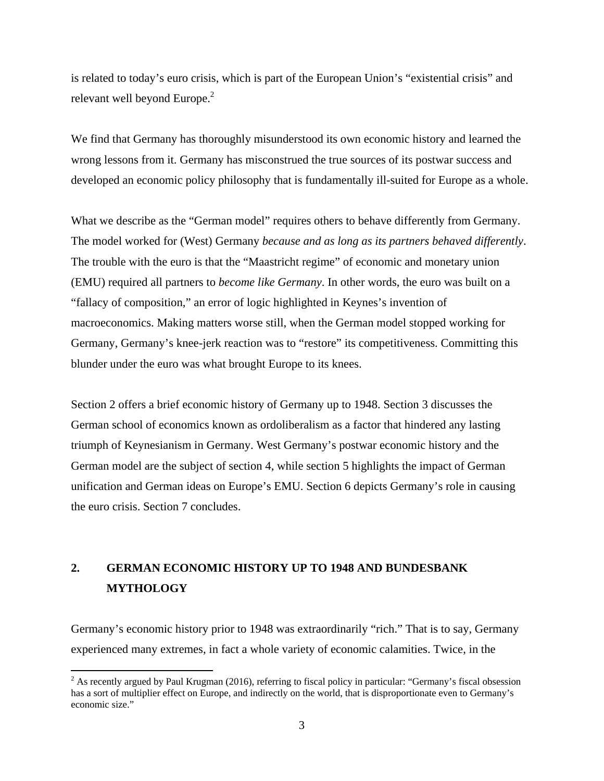is related to today's euro crisis, which is part of the European Union's "existential crisis" and relevant well beyond Europe.<sup>2</sup>

We find that Germany has thoroughly misunderstood its own economic history and learned the wrong lessons from it. Germany has misconstrued the true sources of its postwar success and developed an economic policy philosophy that is fundamentally ill-suited for Europe as a whole.

What we describe as the "German model" requires others to behave differently from Germany. The model worked for (West) Germany *because and as long as its partners behaved differently*. The trouble with the euro is that the "Maastricht regime" of economic and monetary union (EMU) required all partners to *become like Germany*. In other words, the euro was built on a "fallacy of composition," an error of logic highlighted in Keynes's invention of macroeconomics. Making matters worse still, when the German model stopped working for Germany, Germany's knee-jerk reaction was to "restore" its competitiveness. Committing this blunder under the euro was what brought Europe to its knees.

Section 2 offers a brief economic history of Germany up to 1948. Section 3 discusses the German school of economics known as ordoliberalism as a factor that hindered any lasting triumph of Keynesianism in Germany. West Germany's postwar economic history and the German model are the subject of section 4, while section 5 highlights the impact of German unification and German ideas on Europe's EMU. Section 6 depicts Germany's role in causing the euro crisis. Section 7 concludes.

# **2. GERMAN ECONOMIC HISTORY UP TO 1948 AND BUNDESBANK MYTHOLOGY**

Germany's economic history prior to 1948 was extraordinarily "rich." That is to say, Germany experienced many extremes, in fact a whole variety of economic calamities. Twice, in the

 $2^{2}$  As recently argued by Paul Krugman (2016), referring to fiscal policy in particular: "Germany's fiscal obsession has a sort of multiplier effect on Europe, and indirectly on the world, that is disproportionate even to Germany's economic size."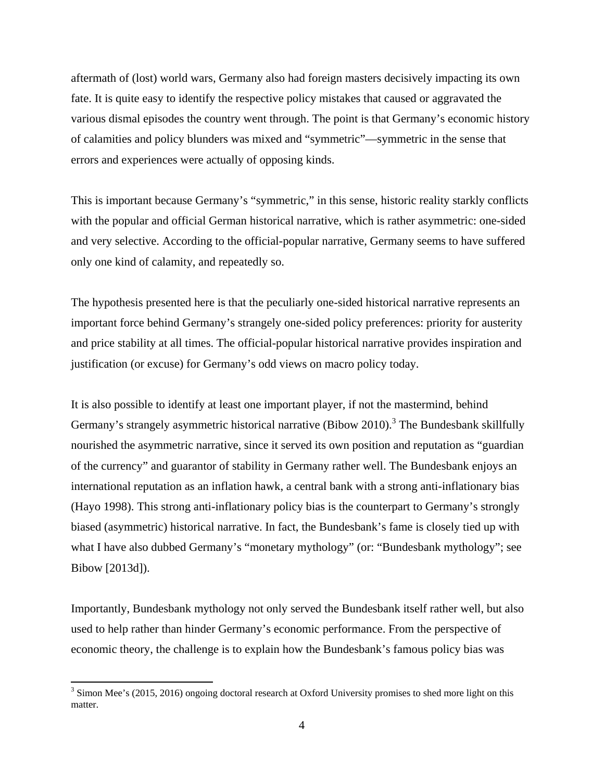aftermath of (lost) world wars, Germany also had foreign masters decisively impacting its own fate. It is quite easy to identify the respective policy mistakes that caused or aggravated the various dismal episodes the country went through. The point is that Germany's economic history of calamities and policy blunders was mixed and "symmetric"—symmetric in the sense that errors and experiences were actually of opposing kinds.

This is important because Germany's "symmetric," in this sense, historic reality starkly conflicts with the popular and official German historical narrative, which is rather asymmetric: one-sided and very selective. According to the official-popular narrative, Germany seems to have suffered only one kind of calamity, and repeatedly so.

The hypothesis presented here is that the peculiarly one-sided historical narrative represents an important force behind Germany's strangely one-sided policy preferences: priority for austerity and price stability at all times. The official-popular historical narrative provides inspiration and justification (or excuse) for Germany's odd views on macro policy today.

It is also possible to identify at least one important player, if not the mastermind, behind Germany's strangely asymmetric historical narrative (Bibow 2010).<sup>3</sup> The Bundesbank skillfully nourished the asymmetric narrative, since it served its own position and reputation as "guardian of the currency" and guarantor of stability in Germany rather well. The Bundesbank enjoys an international reputation as an inflation hawk, a central bank with a strong anti-inflationary bias (Hayo 1998). This strong anti-inflationary policy bias is the counterpart to Germany's strongly biased (asymmetric) historical narrative. In fact, the Bundesbank's fame is closely tied up with what I have also dubbed Germany's "monetary mythology" (or: "Bundesbank mythology"; see Bibow [2013d]).

Importantly, Bundesbank mythology not only served the Bundesbank itself rather well, but also used to help rather than hinder Germany's economic performance. From the perspective of economic theory, the challenge is to explain how the Bundesbank's famous policy bias was

<sup>&</sup>lt;sup>3</sup> Simon Mee's (2015, 2016) ongoing doctoral research at Oxford University promises to shed more light on this matter.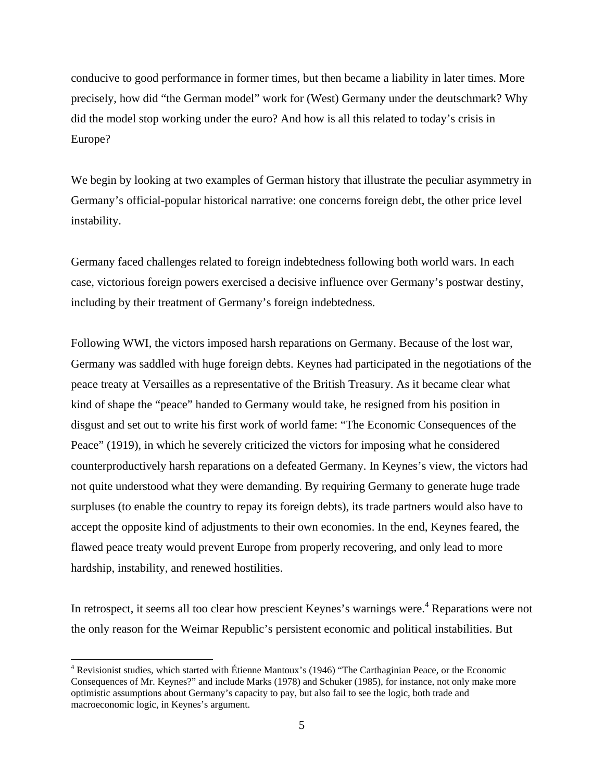conducive to good performance in former times, but then became a liability in later times. More precisely, how did "the German model" work for (West) Germany under the deutschmark? Why did the model stop working under the euro? And how is all this related to today's crisis in Europe?

We begin by looking at two examples of German history that illustrate the peculiar asymmetry in Germany's official-popular historical narrative: one concerns foreign debt, the other price level instability.

Germany faced challenges related to foreign indebtedness following both world wars. In each case, victorious foreign powers exercised a decisive influence over Germany's postwar destiny, including by their treatment of Germany's foreign indebtedness.

Following WWI, the victors imposed harsh reparations on Germany. Because of the lost war, Germany was saddled with huge foreign debts. Keynes had participated in the negotiations of the peace treaty at Versailles as a representative of the British Treasury. As it became clear what kind of shape the "peace" handed to Germany would take, he resigned from his position in disgust and set out to write his first work of world fame: "The Economic Consequences of the Peace" (1919), in which he severely criticized the victors for imposing what he considered counterproductively harsh reparations on a defeated Germany. In Keynes's view, the victors had not quite understood what they were demanding. By requiring Germany to generate huge trade surpluses (to enable the country to repay its foreign debts), its trade partners would also have to accept the opposite kind of adjustments to their own economies. In the end, Keynes feared, the flawed peace treaty would prevent Europe from properly recovering, and only lead to more hardship, instability, and renewed hostilities.

In retrospect, it seems all too clear how prescient Keynes's warnings were.<sup>4</sup> Reparations were not the only reason for the Weimar Republic's persistent economic and political instabilities. But

<sup>&</sup>lt;sup>4</sup> Revisionist studies, which started with Étienne Mantoux's (1946) "The Carthaginian Peace, or the Economic Consequences of Mr. Keynes?" and include Marks (1978) and Schuker (1985), for instance, not only make more optimistic assumptions about Germany's capacity to pay, but also fail to see the logic, both trade and macroeconomic logic, in Keynes's argument.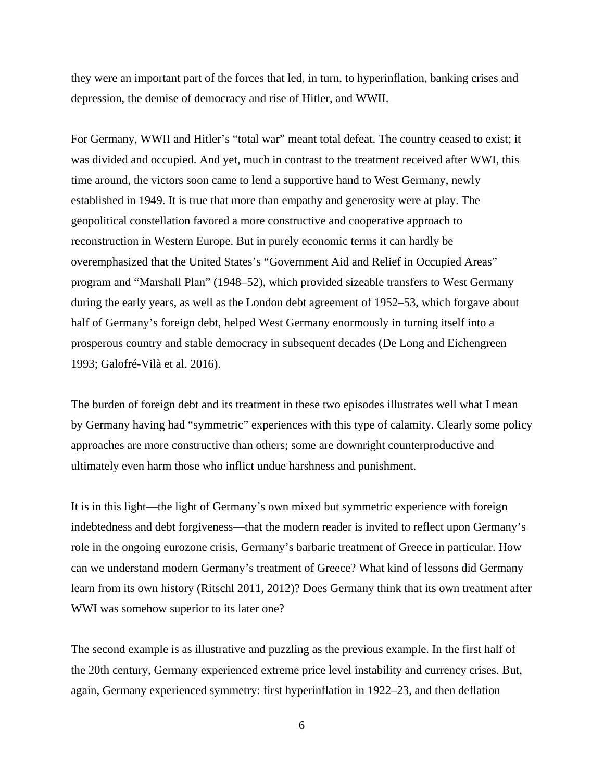they were an important part of the forces that led, in turn, to hyperinflation, banking crises and depression, the demise of democracy and rise of Hitler, and WWII.

For Germany, WWII and Hitler's "total war" meant total defeat. The country ceased to exist; it was divided and occupied. And yet, much in contrast to the treatment received after WWI, this time around, the victors soon came to lend a supportive hand to West Germany, newly established in 1949. It is true that more than empathy and generosity were at play. The geopolitical constellation favored a more constructive and cooperative approach to reconstruction in Western Europe. But in purely economic terms it can hardly be overemphasized that the United States's "Government Aid and Relief in Occupied Areas" program and "Marshall Plan" (1948–52), which provided sizeable transfers to West Germany during the early years, as well as the London debt agreement of 1952–53, which forgave about half of Germany's foreign debt, helped West Germany enormously in turning itself into a prosperous country and stable democracy in subsequent decades (De Long and Eichengreen 1993; Galofré-Vilà et al. 2016).

The burden of foreign debt and its treatment in these two episodes illustrates well what I mean by Germany having had "symmetric" experiences with this type of calamity. Clearly some policy approaches are more constructive than others; some are downright counterproductive and ultimately even harm those who inflict undue harshness and punishment.

It is in this light—the light of Germany's own mixed but symmetric experience with foreign indebtedness and debt forgiveness—that the modern reader is invited to reflect upon Germany's role in the ongoing eurozone crisis, Germany's barbaric treatment of Greece in particular. How can we understand modern Germany's treatment of Greece? What kind of lessons did Germany learn from its own history (Ritschl 2011, 2012)? Does Germany think that its own treatment after WWI was somehow superior to its later one?

The second example is as illustrative and puzzling as the previous example. In the first half of the 20th century, Germany experienced extreme price level instability and currency crises. But, again, Germany experienced symmetry: first hyperinflation in 1922–23, and then deflation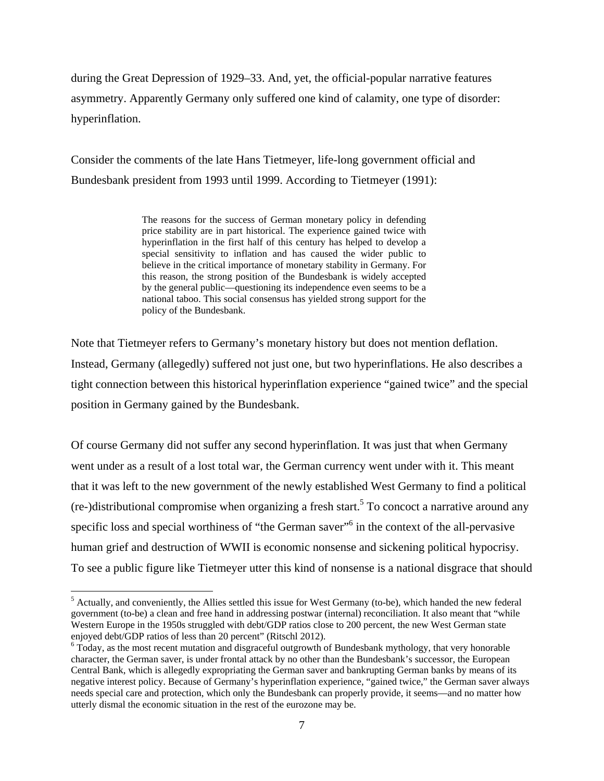during the Great Depression of 1929–33. And, yet, the official-popular narrative features asymmetry. Apparently Germany only suffered one kind of calamity, one type of disorder: hyperinflation.

Consider the comments of the late Hans Tietmeyer, life-long government official and Bundesbank president from 1993 until 1999. According to Tietmeyer (1991):

> The reasons for the success of German monetary policy in defending price stability are in part historical. The experience gained twice with hyperinflation in the first half of this century has helped to develop a special sensitivity to inflation and has caused the wider public to believe in the critical importance of monetary stability in Germany. For this reason, the strong position of the Bundesbank is widely accepted by the general public—questioning its independence even seems to be a national taboo. This social consensus has yielded strong support for the policy of the Bundesbank.

Note that Tietmeyer refers to Germany's monetary history but does not mention deflation. Instead, Germany (allegedly) suffered not just one, but two hyperinflations. He also describes a tight connection between this historical hyperinflation experience "gained twice" and the special position in Germany gained by the Bundesbank.

Of course Germany did not suffer any second hyperinflation. It was just that when Germany went under as a result of a lost total war, the German currency went under with it. This meant that it was left to the new government of the newly established West Germany to find a political  $(re-)$ distributional compromise when organizing a fresh start.<sup>5</sup> To concoct a narrative around any specific loss and special worthiness of "the German saver"<sup>6</sup> in the context of the all-pervasive human grief and destruction of WWII is economic nonsense and sickening political hypocrisy. To see a public figure like Tietmeyer utter this kind of nonsense is a national disgrace that should

 $<sup>5</sup>$  Actually, and conveniently, the Allies settled this issue for West Germany (to-be), which handed the new federal</sup> government (to-be) a clean and free hand in addressing postwar (internal) reconciliation. It also meant that "while Western Europe in the 1950s struggled with debt/GDP ratios close to 200 percent, the new West German state enjoyed debt/GDP ratios of less than 20 percent" (Ritschl 2012).

 $6$  Today, as the most recent mutation and disgraceful outgrowth of Bundesbank mythology, that very honorable character, the German saver, is under frontal attack by no other than the Bundesbank's successor, the European Central Bank, which is allegedly expropriating the German saver and bankrupting German banks by means of its negative interest policy. Because of Germany's hyperinflation experience, "gained twice," the German saver always needs special care and protection, which only the Bundesbank can properly provide, it seems—and no matter how utterly dismal the economic situation in the rest of the eurozone may be.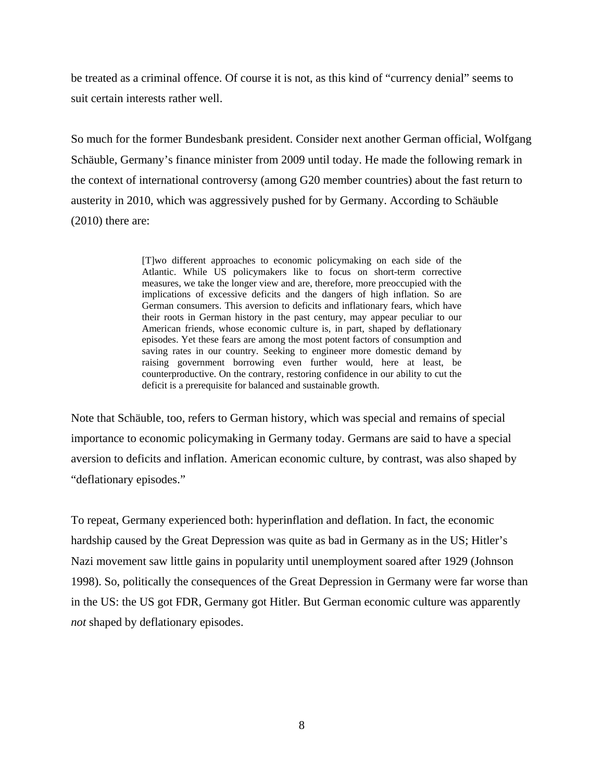be treated as a criminal offence. Of course it is not, as this kind of "currency denial" seems to suit certain interests rather well.

So much for the former Bundesbank president. Consider next another German official, Wolfgang Schäuble, Germany's finance minister from 2009 until today. He made the following remark in the context of international controversy (among G20 member countries) about the fast return to austerity in 2010, which was aggressively pushed for by Germany. According to Schäuble  $(2010)$  there are:

> [T]wo different approaches to economic policymaking on each side of the Atlantic. While US policymakers like to focus on short-term corrective measures, we take the longer view and are, therefore, more preoccupied with the implications of excessive deficits and the dangers of high inflation. So are German consumers. This aversion to deficits and inflationary fears, which have their roots in German history in the past century, may appear peculiar to our American friends, whose economic culture is, in part, shaped by deflationary episodes. Yet these fears are among the most potent factors of consumption and saving rates in our country. Seeking to engineer more domestic demand by raising government borrowing even further would, here at least, be counterproductive. On the contrary, restoring confidence in our ability to cut the deficit is a prerequisite for balanced and sustainable growth.

Note that Schäuble, too, refers to German history, which was special and remains of special importance to economic policymaking in Germany today. Germans are said to have a special aversion to deficits and inflation. American economic culture, by contrast, was also shaped by "deflationary episodes."

To repeat, Germany experienced both: hyperinflation and deflation. In fact, the economic hardship caused by the Great Depression was quite as bad in Germany as in the US; Hitler's Nazi movement saw little gains in popularity until unemployment soared after 1929 (Johnson 1998). So, politically the consequences of the Great Depression in Germany were far worse than in the US: the US got FDR, Germany got Hitler. But German economic culture was apparently *not* shaped by deflationary episodes.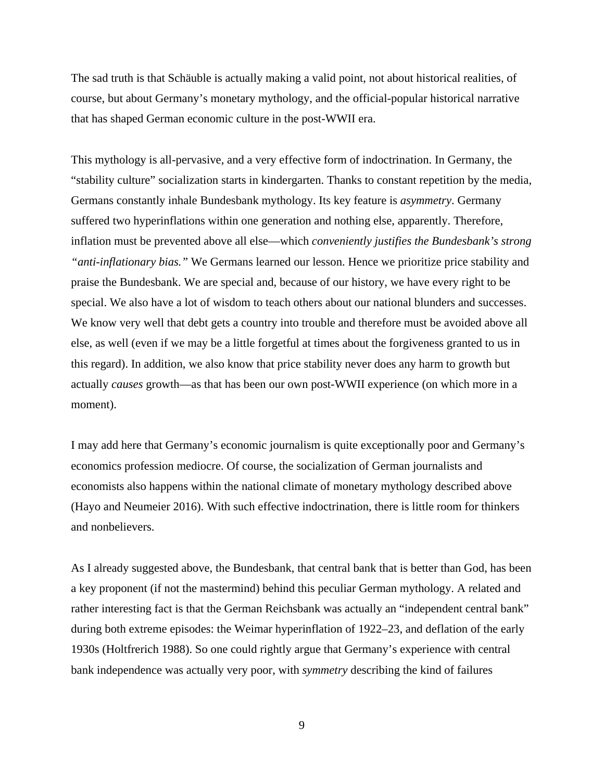The sad truth is that Schäuble is actually making a valid point, not about historical realities, of course, but about Germany's monetary mythology, and the official-popular historical narrative that has shaped German economic culture in the post-WWII era.

This mythology is all-pervasive, and a very effective form of indoctrination. In Germany, the "stability culture" socialization starts in kindergarten. Thanks to constant repetition by the media, Germans constantly inhale Bundesbank mythology. Its key feature is *asymmetry*. Germany suffered two hyperinflations within one generation and nothing else, apparently. Therefore, inflation must be prevented above all else—which *conveniently justifies the Bundesbank's strong "anti-inflationary bias."* We Germans learned our lesson. Hence we prioritize price stability and praise the Bundesbank. We are special and, because of our history, we have every right to be special. We also have a lot of wisdom to teach others about our national blunders and successes. We know very well that debt gets a country into trouble and therefore must be avoided above all else, as well (even if we may be a little forgetful at times about the forgiveness granted to us in this regard). In addition, we also know that price stability never does any harm to growth but actually *causes* growth—as that has been our own post-WWII experience (on which more in a moment).

I may add here that Germany's economic journalism is quite exceptionally poor and Germany's economics profession mediocre. Of course, the socialization of German journalists and economists also happens within the national climate of monetary mythology described above (Hayo and Neumeier 2016). With such effective indoctrination, there is little room for thinkers and nonbelievers.

As I already suggested above, the Bundesbank, that central bank that is better than God, has been a key proponent (if not the mastermind) behind this peculiar German mythology. A related and rather interesting fact is that the German Reichsbank was actually an "independent central bank" during both extreme episodes: the Weimar hyperinflation of 1922–23, and deflation of the early 1930s (Holtfrerich 1988). So one could rightly argue that Germany's experience with central bank independence was actually very poor, with *symmetry* describing the kind of failures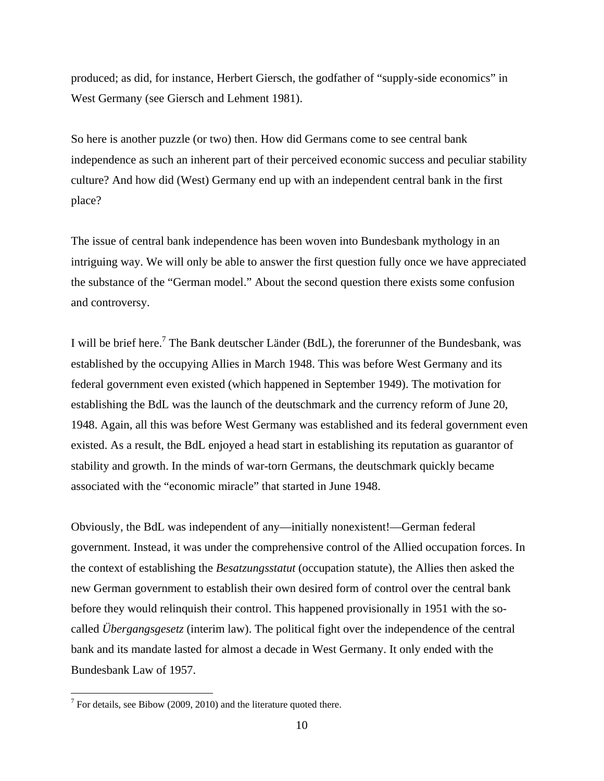produced; as did, for instance, Herbert Giersch, the godfather of "supply-side economics" in West Germany (see Giersch and Lehment 1981).

So here is another puzzle (or two) then. How did Germans come to see central bank independence as such an inherent part of their perceived economic success and peculiar stability culture? And how did (West) Germany end up with an independent central bank in the first place?

The issue of central bank independence has been woven into Bundesbank mythology in an intriguing way. We will only be able to answer the first question fully once we have appreciated the substance of the "German model." About the second question there exists some confusion and controversy.

I will be brief here.<sup>7</sup> The Bank deutscher Länder (BdL), the forerunner of the Bundesbank, was established by the occupying Allies in March 1948. This was before West Germany and its federal government even existed (which happened in September 1949). The motivation for establishing the BdL was the launch of the deutschmark and the currency reform of June 20, 1948. Again, all this was before West Germany was established and its federal government even existed. As a result, the BdL enjoyed a head start in establishing its reputation as guarantor of stability and growth. In the minds of war-torn Germans, the deutschmark quickly became associated with the "economic miracle" that started in June 1948.

Obviously, the BdL was independent of any—initially nonexistent!—German federal government. Instead, it was under the comprehensive control of the Allied occupation forces. In the context of establishing the *Besatzungsstatut* (occupation statute), the Allies then asked the new German government to establish their own desired form of control over the central bank before they would relinquish their control. This happened provisionally in 1951 with the socalled *Übergangsgesetz* (interim law). The political fight over the independence of the central bank and its mandate lasted for almost a decade in West Germany. It only ended with the Bundesbank Law of 1957.

 $7$  For details, see Bibow (2009, 2010) and the literature quoted there.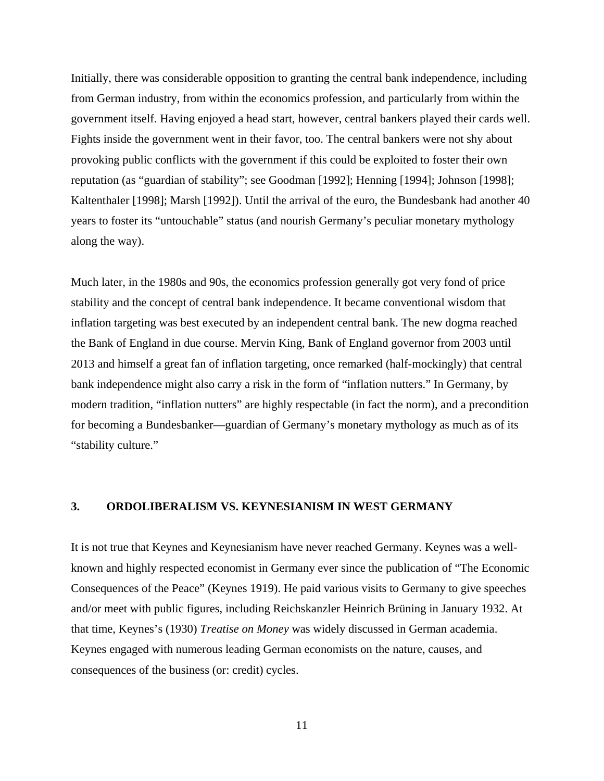Initially, there was considerable opposition to granting the central bank independence, including from German industry, from within the economics profession, and particularly from within the government itself. Having enjoyed a head start, however, central bankers played their cards well. Fights inside the government went in their favor, too. The central bankers were not shy about provoking public conflicts with the government if this could be exploited to foster their own reputation (as "guardian of stability"; see Goodman [1992]; Henning [1994]; Johnson [1998]; Kaltenthaler [1998]; Marsh [1992]). Until the arrival of the euro, the Bundesbank had another 40 years to foster its "untouchable" status (and nourish Germany's peculiar monetary mythology along the way).

Much later, in the 1980s and 90s, the economics profession generally got very fond of price stability and the concept of central bank independence. It became conventional wisdom that inflation targeting was best executed by an independent central bank. The new dogma reached the Bank of England in due course. Mervin King, Bank of England governor from 2003 until 2013 and himself a great fan of inflation targeting, once remarked (half-mockingly) that central bank independence might also carry a risk in the form of "inflation nutters." In Germany, by modern tradition, "inflation nutters" are highly respectable (in fact the norm), and a precondition for becoming a Bundesbanker—guardian of Germany's monetary mythology as much as of its "stability culture."

## **3. ORDOLIBERALISM VS. KEYNESIANISM IN WEST GERMANY**

It is not true that Keynes and Keynesianism have never reached Germany. Keynes was a wellknown and highly respected economist in Germany ever since the publication of "The Economic Consequences of the Peace" (Keynes 1919). He paid various visits to Germany to give speeches and/or meet with public figures, including Reichskanzler Heinrich Brüning in January 1932. At that time, Keynes's (1930) *Treatise on Money* was widely discussed in German academia. Keynes engaged with numerous leading German economists on the nature, causes, and consequences of the business (or: credit) cycles.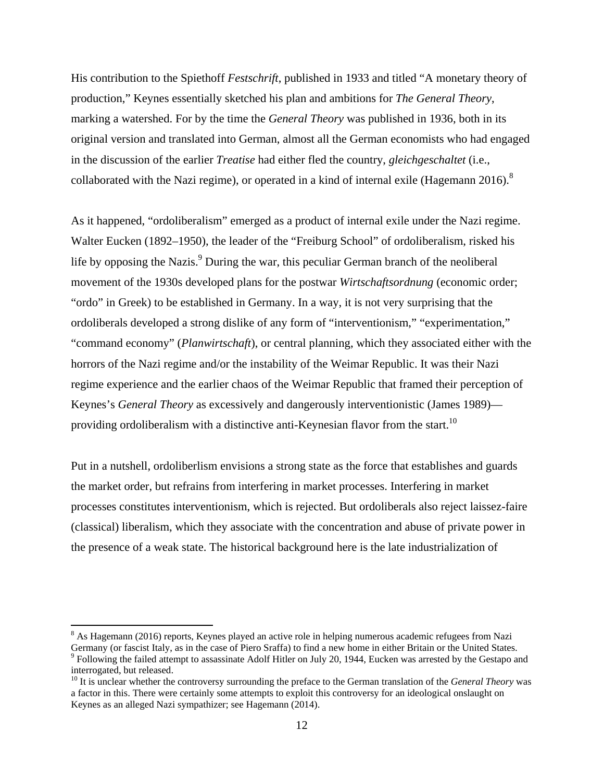His contribution to the Spiethoff *Festschrift*, published in 1933 and titled "A monetary theory of production," Keynes essentially sketched his plan and ambitions for *The General Theory*, marking a watershed. For by the time the *General Theory* was published in 1936, both in its original version and translated into German, almost all the German economists who had engaged in the discussion of the earlier *Treatise* had either fled the country, *gleichgeschaltet* (i.e., collaborated with the Nazi regime), or operated in a kind of internal exile (Hagemann 2016).<sup>8</sup>

As it happened, "ordoliberalism" emerged as a product of internal exile under the Nazi regime. Walter Eucken (1892–1950), the leader of the "Freiburg School" of ordoliberalism, risked his life by opposing the Nazis.<sup>9</sup> During the war, this peculiar German branch of the neoliberal movement of the 1930s developed plans for the postwar *Wirtschaftsordnung* (economic order; "ordo" in Greek) to be established in Germany. In a way, it is not very surprising that the ordoliberals developed a strong dislike of any form of "interventionism," "experimentation," "command economy" (*Planwirtschaft*), or central planning, which they associated either with the horrors of the Nazi regime and/or the instability of the Weimar Republic. It was their Nazi regime experience and the earlier chaos of the Weimar Republic that framed their perception of Keynes's *General Theory* as excessively and dangerously interventionistic (James 1989) providing ordoliberalism with a distinctive anti-Keynesian flavor from the start.<sup>10</sup>

Put in a nutshell, ordoliberlism envisions a strong state as the force that establishes and guards the market order, but refrains from interfering in market processes. Interfering in market processes constitutes interventionism, which is rejected. But ordoliberals also reject laissez-faire (classical) liberalism, which they associate with the concentration and abuse of private power in the presence of a weak state. The historical background here is the late industrialization of

<sup>&</sup>lt;sup>8</sup> As Hagemann (2016) reports, Keynes played an active role in helping numerous academic refugees from Nazi Germany (or fascist Italy, as in the case of Piero Sraffa) to find a new home in either Britain or the United States. 9

<sup>&</sup>lt;sup>9</sup> Following the failed attempt to assassinate Adolf Hitler on July 20, 1944, Eucken was arrested by the Gestapo and interrogated, but released.

<sup>&</sup>lt;sup>10</sup> It is unclear whether the controversy surrounding the preface to the German translation of the *General Theory* was a factor in this. There were certainly some attempts to exploit this controversy for an ideological onslaught on Keynes as an alleged Nazi sympathizer; see Hagemann (2014).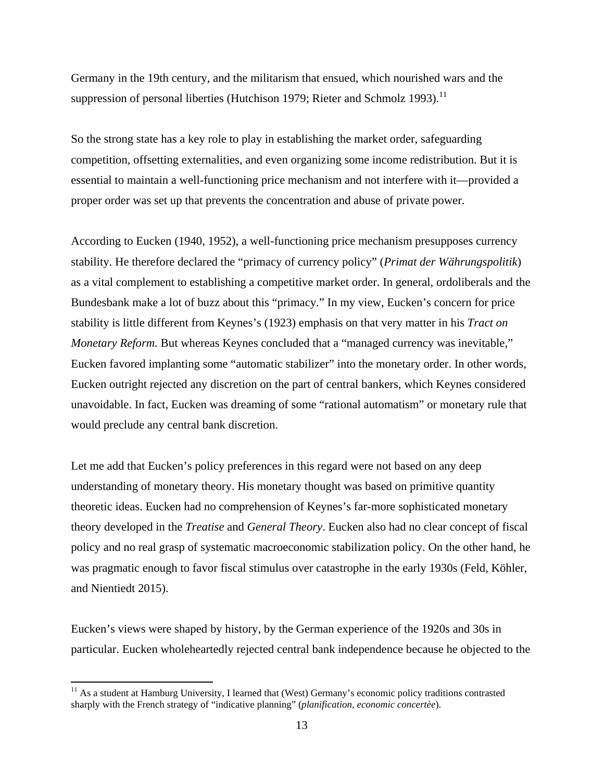Germany in the 19th century, and the militarism that ensued, which nourished wars and the suppression of personal liberties (Hutchison 1979; Rieter and Schmolz 1993).<sup>11</sup>

So the strong state has a key role to play in establishing the market order, safeguarding competition, offsetting externalities, and even organizing some income redistribution. But it is essential to maintain a well-functioning price mechanism and not interfere with it—provided a proper order was set up that prevents the concentration and abuse of private power.

According to Eucken (1940, 1952), a well-functioning price mechanism presupposes currency stability. He therefore declared the "primacy of currency policy" (*Primat der Währungspolitik*) as a vital complement to establishing a competitive market order. In general, ordoliberals and the Bundesbank make a lot of buzz about this "primacy." In my view, Eucken's concern for price stability is little different from Keynes's (1923) emphasis on that very matter in his *Tract on Monetary Reform.* But whereas Keynes concluded that a "managed currency was inevitable," Eucken favored implanting some "automatic stabilizer" into the monetary order. In other words, Eucken outright rejected any discretion on the part of central bankers, which Keynes considered unavoidable. In fact, Eucken was dreaming of some "rational automatism" or monetary rule that would preclude any central bank discretion.

Let me add that Eucken's policy preferences in this regard were not based on any deep understanding of monetary theory. His monetary thought was based on primitive quantity theoretic ideas. Eucken had no comprehension of Keynes's far-more sophisticated monetary theory developed in the *Treatise* and *General Theory*. Eucken also had no clear concept of fiscal policy and no real grasp of systematic macroeconomic stabilization policy. On the other hand, he was pragmatic enough to favor fiscal stimulus over catastrophe in the early 1930s (Feld, Köhler, and Nientiedt 2015).

Eucken's views were shaped by history, by the German experience of the 1920s and 30s in particular. Eucken wholeheartedly rejected central bank independence because he objected to the

<sup>&</sup>lt;sup>11</sup> As a student at Hamburg University, I learned that (West) Germany's economic policy traditions contrasted sharply with the French strategy of "indicative planning" (*planification, economic concertèe*).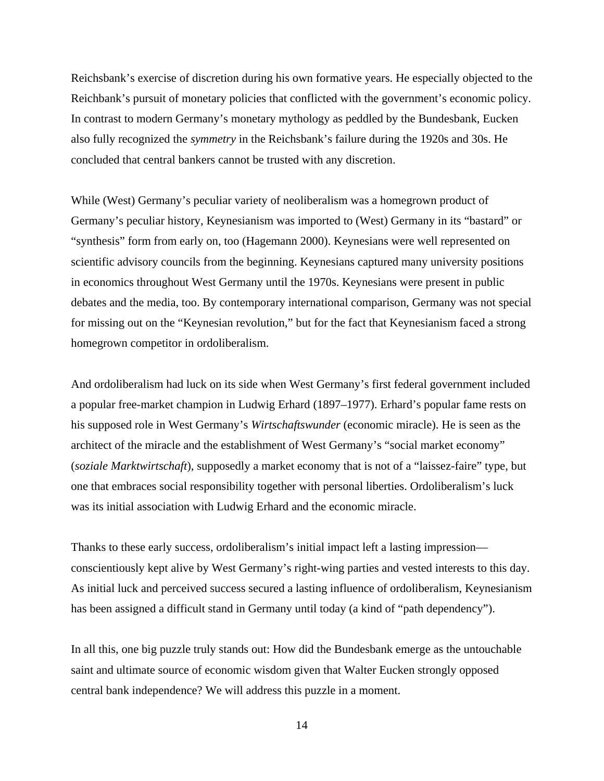Reichsbank's exercise of discretion during his own formative years. He especially objected to the Reichbank's pursuit of monetary policies that conflicted with the government's economic policy. In contrast to modern Germany's monetary mythology as peddled by the Bundesbank, Eucken also fully recognized the *symmetry* in the Reichsbank's failure during the 1920s and 30s. He concluded that central bankers cannot be trusted with any discretion.

While (West) Germany's peculiar variety of neoliberalism was a homegrown product of Germany's peculiar history, Keynesianism was imported to (West) Germany in its "bastard" or "synthesis" form from early on, too (Hagemann 2000). Keynesians were well represented on scientific advisory councils from the beginning. Keynesians captured many university positions in economics throughout West Germany until the 1970s. Keynesians were present in public debates and the media, too. By contemporary international comparison, Germany was not special for missing out on the "Keynesian revolution," but for the fact that Keynesianism faced a strong homegrown competitor in ordoliberalism.

And ordoliberalism had luck on its side when West Germany's first federal government included a popular free-market champion in Ludwig Erhard (1897–1977). Erhard's popular fame rests on his supposed role in West Germany's *Wirtschaftswunder* (economic miracle). He is seen as the architect of the miracle and the establishment of West Germany's "social market economy" (*soziale Marktwirtschaft*), supposedly a market economy that is not of a "laissez-faire" type, but one that embraces social responsibility together with personal liberties. Ordoliberalism's luck was its initial association with Ludwig Erhard and the economic miracle.

Thanks to these early success, ordoliberalism's initial impact left a lasting impression conscientiously kept alive by West Germany's right-wing parties and vested interests to this day. As initial luck and perceived success secured a lasting influence of ordoliberalism, Keynesianism has been assigned a difficult stand in Germany until today (a kind of "path dependency").

In all this, one big puzzle truly stands out: How did the Bundesbank emerge as the untouchable saint and ultimate source of economic wisdom given that Walter Eucken strongly opposed central bank independence? We will address this puzzle in a moment.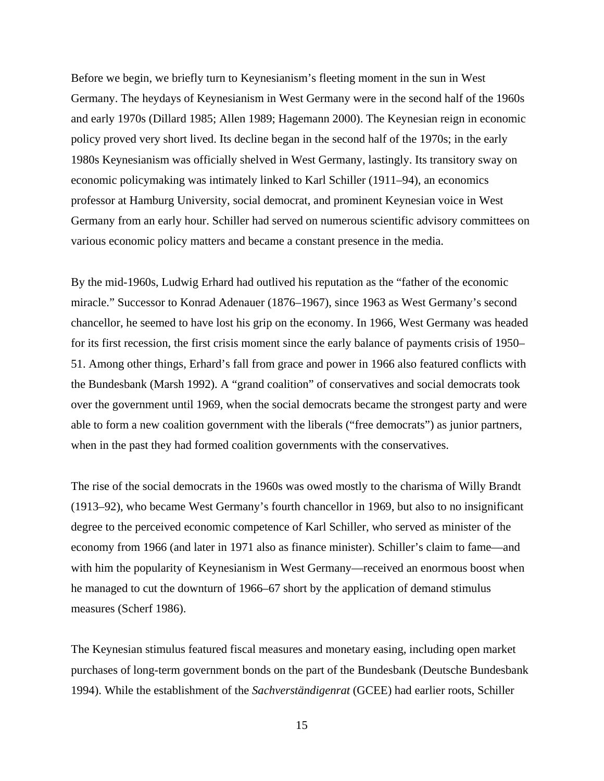Before we begin, we briefly turn to Keynesianism's fleeting moment in the sun in West Germany. The heydays of Keynesianism in West Germany were in the second half of the 1960s and early 1970s (Dillard 1985; Allen 1989; Hagemann 2000). The Keynesian reign in economic policy proved very short lived. Its decline began in the second half of the 1970s; in the early 1980s Keynesianism was officially shelved in West Germany, lastingly. Its transitory sway on economic policymaking was intimately linked to Karl Schiller (1911–94), an economics professor at Hamburg University, social democrat, and prominent Keynesian voice in West Germany from an early hour. Schiller had served on numerous scientific advisory committees on various economic policy matters and became a constant presence in the media.

By the mid-1960s, Ludwig Erhard had outlived his reputation as the "father of the economic miracle." Successor to Konrad Adenauer (1876–1967), since 1963 as West Germany's second chancellor, he seemed to have lost his grip on the economy. In 1966, West Germany was headed for its first recession, the first crisis moment since the early balance of payments crisis of 1950– 51. Among other things, Erhard's fall from grace and power in 1966 also featured conflicts with the Bundesbank (Marsh 1992). A "grand coalition" of conservatives and social democrats took over the government until 1969, when the social democrats became the strongest party and were able to form a new coalition government with the liberals ("free democrats") as junior partners, when in the past they had formed coalition governments with the conservatives.

The rise of the social democrats in the 1960s was owed mostly to the charisma of Willy Brandt (1913–92), who became West Germany's fourth chancellor in 1969, but also to no insignificant degree to the perceived economic competence of Karl Schiller, who served as minister of the economy from 1966 (and later in 1971 also as finance minister). Schiller's claim to fame—and with him the popularity of Keynesianism in West Germany—received an enormous boost when he managed to cut the downturn of 1966–67 short by the application of demand stimulus measures (Scherf 1986).

The Keynesian stimulus featured fiscal measures and monetary easing, including open market purchases of long-term government bonds on the part of the Bundesbank (Deutsche Bundesbank 1994). While the establishment of the *Sachverständigenrat* (GCEE) had earlier roots, Schiller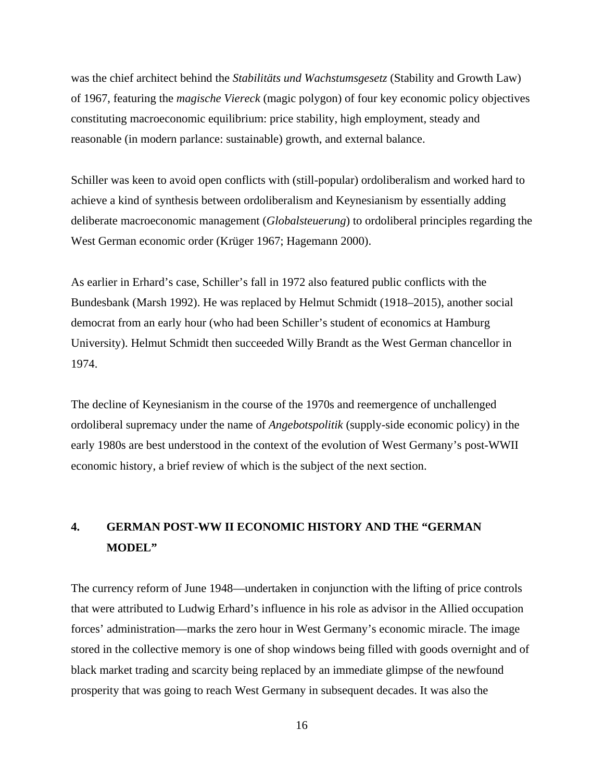was the chief architect behind the *Stabilitäts und Wachstumsgesetz* (Stability and Growth Law) of 1967, featuring the *magische Viereck* (magic polygon) of four key economic policy objectives constituting macroeconomic equilibrium: price stability, high employment, steady and reasonable (in modern parlance: sustainable) growth, and external balance.

Schiller was keen to avoid open conflicts with (still-popular) ordoliberalism and worked hard to achieve a kind of synthesis between ordoliberalism and Keynesianism by essentially adding deliberate macroeconomic management (*Globalsteuerung*) to ordoliberal principles regarding the West German economic order (Krüger 1967; Hagemann 2000).

As earlier in Erhard's case, Schiller's fall in 1972 also featured public conflicts with the Bundesbank (Marsh 1992). He was replaced by Helmut Schmidt (1918–2015), another social democrat from an early hour (who had been Schiller's student of economics at Hamburg University). Helmut Schmidt then succeeded Willy Brandt as the West German chancellor in 1974.

The decline of Keynesianism in the course of the 1970s and reemergence of unchallenged ordoliberal supremacy under the name of *Angebotspolitik* (supply-side economic policy) in the early 1980s are best understood in the context of the evolution of West Germany's post-WWII economic history, a brief review of which is the subject of the next section.

# **4. GERMAN POST-WW II ECONOMIC HISTORY AND THE "GERMAN MODEL"**

The currency reform of June 1948—undertaken in conjunction with the lifting of price controls that were attributed to Ludwig Erhard's influence in his role as advisor in the Allied occupation forces' administration—marks the zero hour in West Germany's economic miracle. The image stored in the collective memory is one of shop windows being filled with goods overnight and of black market trading and scarcity being replaced by an immediate glimpse of the newfound prosperity that was going to reach West Germany in subsequent decades. It was also the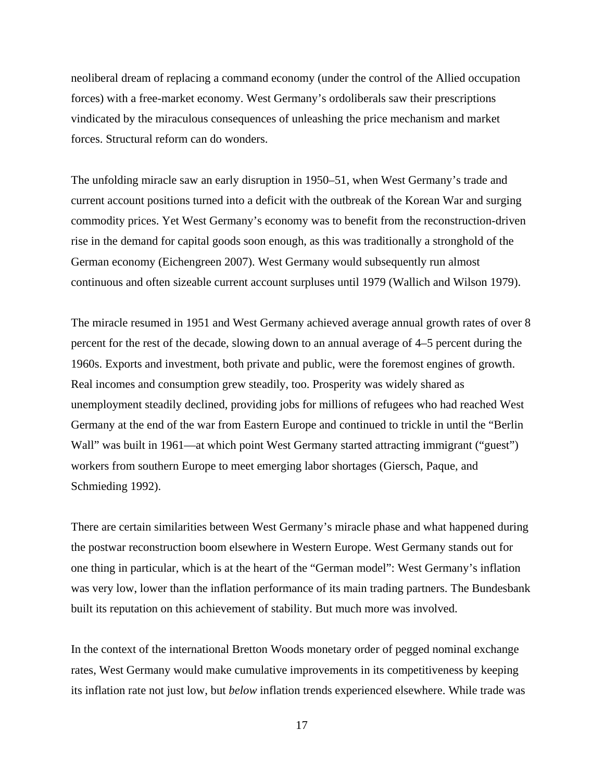neoliberal dream of replacing a command economy (under the control of the Allied occupation forces) with a free-market economy. West Germany's ordoliberals saw their prescriptions vindicated by the miraculous consequences of unleashing the price mechanism and market forces. Structural reform can do wonders.

The unfolding miracle saw an early disruption in 1950–51, when West Germany's trade and current account positions turned into a deficit with the outbreak of the Korean War and surging commodity prices. Yet West Germany's economy was to benefit from the reconstruction-driven rise in the demand for capital goods soon enough, as this was traditionally a stronghold of the German economy (Eichengreen 2007). West Germany would subsequently run almost continuous and often sizeable current account surpluses until 1979 (Wallich and Wilson 1979).

The miracle resumed in 1951 and West Germany achieved average annual growth rates of over 8 percent for the rest of the decade, slowing down to an annual average of 4–5 percent during the 1960s. Exports and investment, both private and public, were the foremost engines of growth. Real incomes and consumption grew steadily, too. Prosperity was widely shared as unemployment steadily declined, providing jobs for millions of refugees who had reached West Germany at the end of the war from Eastern Europe and continued to trickle in until the "Berlin Wall" was built in 1961—at which point West Germany started attracting immigrant ("guest") workers from southern Europe to meet emerging labor shortages (Giersch, Paque, and Schmieding 1992).

There are certain similarities between West Germany's miracle phase and what happened during the postwar reconstruction boom elsewhere in Western Europe. West Germany stands out for one thing in particular, which is at the heart of the "German model": West Germany's inflation was very low, lower than the inflation performance of its main trading partners. The Bundesbank built its reputation on this achievement of stability. But much more was involved.

In the context of the international Bretton Woods monetary order of pegged nominal exchange rates, West Germany would make cumulative improvements in its competitiveness by keeping its inflation rate not just low, but *below* inflation trends experienced elsewhere. While trade was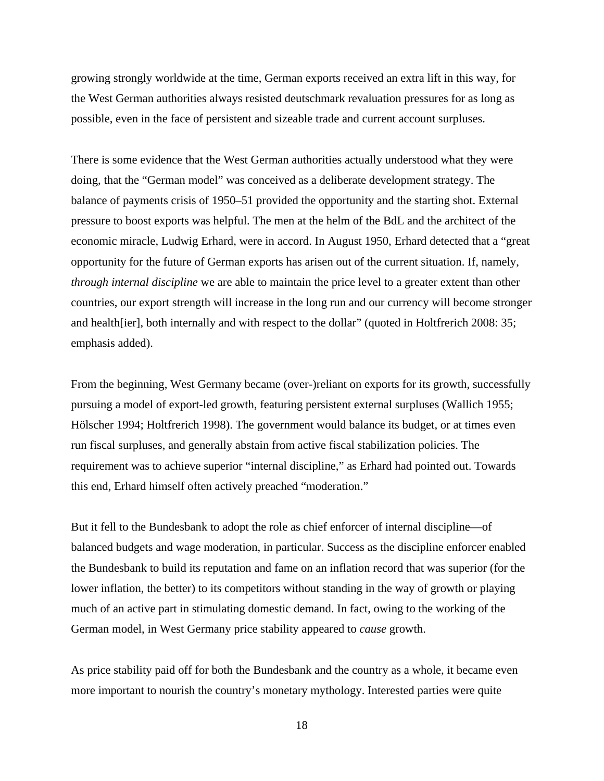growing strongly worldwide at the time, German exports received an extra lift in this way, for the West German authorities always resisted deutschmark revaluation pressures for as long as possible, even in the face of persistent and sizeable trade and current account surpluses.

There is some evidence that the West German authorities actually understood what they were doing, that the "German model" was conceived as a deliberate development strategy. The balance of payments crisis of 1950–51 provided the opportunity and the starting shot. External pressure to boost exports was helpful. The men at the helm of the BdL and the architect of the economic miracle, Ludwig Erhard, were in accord. In August 1950, Erhard detected that a "great opportunity for the future of German exports has arisen out of the current situation. If, namely, *through internal discipline* we are able to maintain the price level to a greater extent than other countries, our export strength will increase in the long run and our currency will become stronger and health[ier], both internally and with respect to the dollar" (quoted in Holtfrerich 2008: 35; emphasis added).

From the beginning, West Germany became (over-)reliant on exports for its growth, successfully pursuing a model of export-led growth, featuring persistent external surpluses (Wallich 1955; Hölscher 1994; Holtfrerich 1998). The government would balance its budget, or at times even run fiscal surpluses, and generally abstain from active fiscal stabilization policies. The requirement was to achieve superior "internal discipline," as Erhard had pointed out. Towards this end, Erhard himself often actively preached "moderation."

But it fell to the Bundesbank to adopt the role as chief enforcer of internal discipline—of balanced budgets and wage moderation, in particular. Success as the discipline enforcer enabled the Bundesbank to build its reputation and fame on an inflation record that was superior (for the lower inflation, the better) to its competitors without standing in the way of growth or playing much of an active part in stimulating domestic demand. In fact, owing to the working of the German model, in West Germany price stability appeared to *cause* growth.

As price stability paid off for both the Bundesbank and the country as a whole, it became even more important to nourish the country's monetary mythology. Interested parties were quite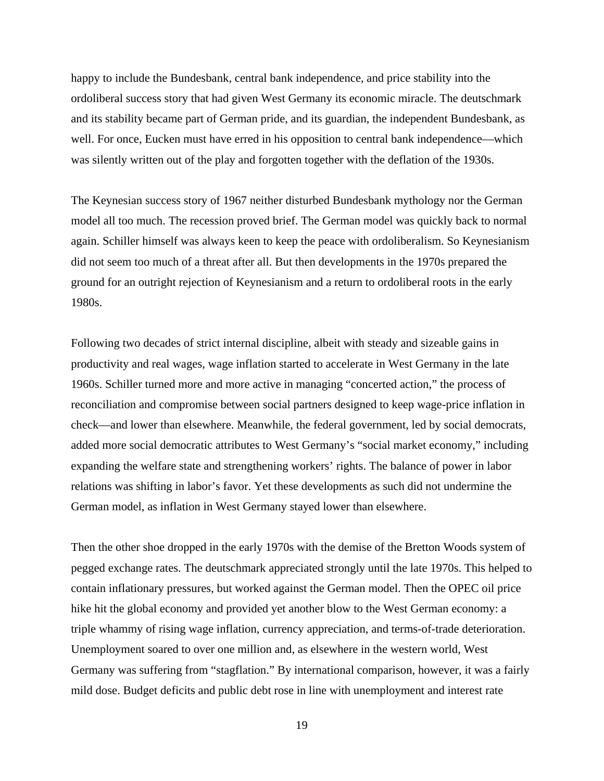happy to include the Bundesbank, central bank independence, and price stability into the ordoliberal success story that had given West Germany its economic miracle. The deutschmark and its stability became part of German pride, and its guardian, the independent Bundesbank, as well. For once, Eucken must have erred in his opposition to central bank independence—which was silently written out of the play and forgotten together with the deflation of the 1930s.

The Keynesian success story of 1967 neither disturbed Bundesbank mythology nor the German model all too much. The recession proved brief. The German model was quickly back to normal again. Schiller himself was always keen to keep the peace with ordoliberalism. So Keynesianism did not seem too much of a threat after all. But then developments in the 1970s prepared the ground for an outright rejection of Keynesianism and a return to ordoliberal roots in the early 1980s.

Following two decades of strict internal discipline, albeit with steady and sizeable gains in productivity and real wages, wage inflation started to accelerate in West Germany in the late 1960s. Schiller turned more and more active in managing "concerted action," the process of reconciliation and compromise between social partners designed to keep wage-price inflation in check—and lower than elsewhere. Meanwhile, the federal government, led by social democrats, added more social democratic attributes to West Germany's "social market economy," including expanding the welfare state and strengthening workers' rights. The balance of power in labor relations was shifting in labor's favor. Yet these developments as such did not undermine the German model, as inflation in West Germany stayed lower than elsewhere.

Then the other shoe dropped in the early 1970s with the demise of the Bretton Woods system of pegged exchange rates. The deutschmark appreciated strongly until the late 1970s. This helped to contain inflationary pressures, but worked against the German model. Then the OPEC oil price hike hit the global economy and provided yet another blow to the West German economy: a triple whammy of rising wage inflation, currency appreciation, and terms-of-trade deterioration. Unemployment soared to over one million and, as elsewhere in the western world, West Germany was suffering from "stagflation." By international comparison, however, it was a fairly mild dose. Budget deficits and public debt rose in line with unemployment and interest rate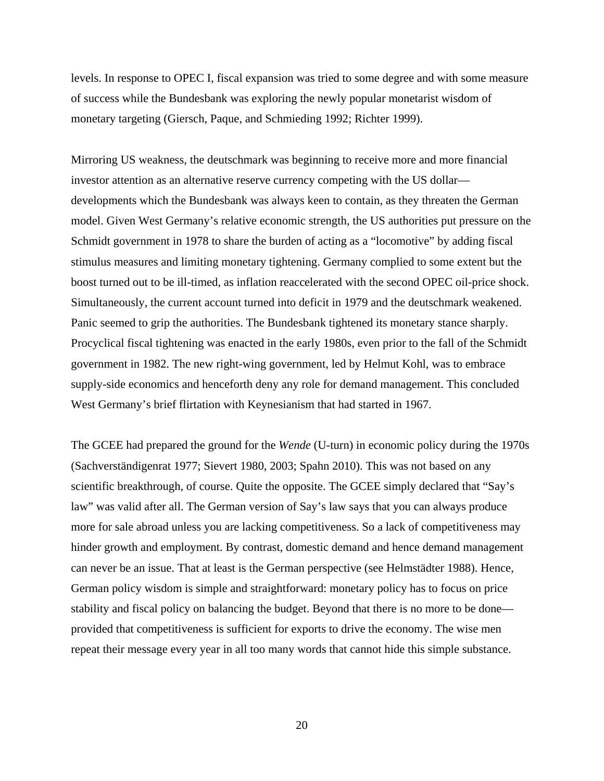levels. In response to OPEC I, fiscal expansion was tried to some degree and with some measure of success while the Bundesbank was exploring the newly popular monetarist wisdom of monetary targeting (Giersch, Paque, and Schmieding 1992; Richter 1999).

Mirroring US weakness, the deutschmark was beginning to receive more and more financial investor attention as an alternative reserve currency competing with the US dollar developments which the Bundesbank was always keen to contain, as they threaten the German model. Given West Germany's relative economic strength, the US authorities put pressure on the Schmidt government in 1978 to share the burden of acting as a "locomotive" by adding fiscal stimulus measures and limiting monetary tightening. Germany complied to some extent but the boost turned out to be ill-timed, as inflation reaccelerated with the second OPEC oil-price shock. Simultaneously, the current account turned into deficit in 1979 and the deutschmark weakened. Panic seemed to grip the authorities. The Bundesbank tightened its monetary stance sharply. Procyclical fiscal tightening was enacted in the early 1980s, even prior to the fall of the Schmidt government in 1982. The new right-wing government, led by Helmut Kohl, was to embrace supply-side economics and henceforth deny any role for demand management. This concluded West Germany's brief flirtation with Keynesianism that had started in 1967.

The GCEE had prepared the ground for the *Wende* (U-turn) in economic policy during the 1970s (Sachverständigenrat 1977; Sievert 1980, 2003; Spahn 2010). This was not based on any scientific breakthrough, of course. Quite the opposite. The GCEE simply declared that "Say's law" was valid after all. The German version of Say's law says that you can always produce more for sale abroad unless you are lacking competitiveness. So a lack of competitiveness may hinder growth and employment. By contrast, domestic demand and hence demand management can never be an issue. That at least is the German perspective (see Helmstädter 1988). Hence, German policy wisdom is simple and straightforward: monetary policy has to focus on price stability and fiscal policy on balancing the budget. Beyond that there is no more to be done provided that competitiveness is sufficient for exports to drive the economy. The wise men repeat their message every year in all too many words that cannot hide this simple substance.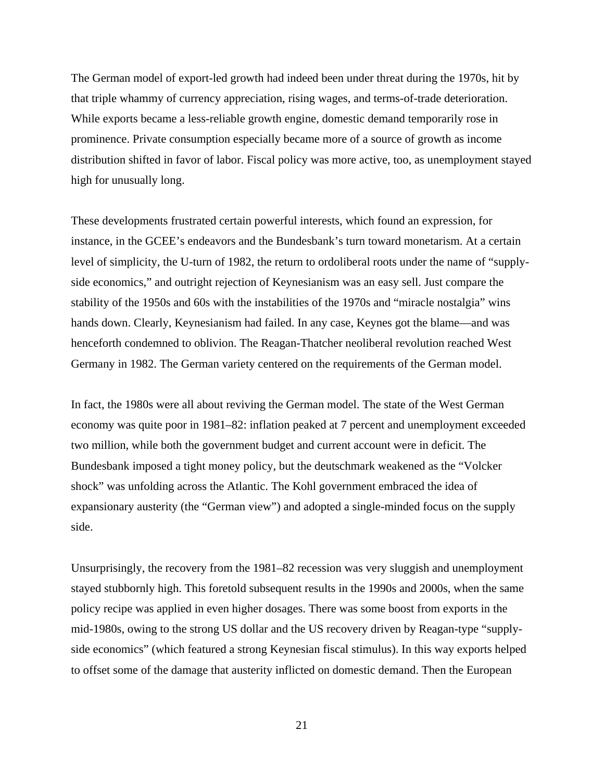The German model of export-led growth had indeed been under threat during the 1970s, hit by that triple whammy of currency appreciation, rising wages, and terms-of-trade deterioration. While exports became a less-reliable growth engine, domestic demand temporarily rose in prominence. Private consumption especially became more of a source of growth as income distribution shifted in favor of labor. Fiscal policy was more active, too, as unemployment stayed high for unusually long.

These developments frustrated certain powerful interests, which found an expression, for instance, in the GCEE's endeavors and the Bundesbank's turn toward monetarism. At a certain level of simplicity, the U-turn of 1982, the return to ordoliberal roots under the name of "supplyside economics," and outright rejection of Keynesianism was an easy sell. Just compare the stability of the 1950s and 60s with the instabilities of the 1970s and "miracle nostalgia" wins hands down. Clearly, Keynesianism had failed. In any case, Keynes got the blame—and was henceforth condemned to oblivion. The Reagan-Thatcher neoliberal revolution reached West Germany in 1982. The German variety centered on the requirements of the German model.

In fact, the 1980s were all about reviving the German model. The state of the West German economy was quite poor in 1981–82: inflation peaked at 7 percent and unemployment exceeded two million, while both the government budget and current account were in deficit. The Bundesbank imposed a tight money policy, but the deutschmark weakened as the "Volcker shock" was unfolding across the Atlantic. The Kohl government embraced the idea of expansionary austerity (the "German view") and adopted a single-minded focus on the supply side.

Unsurprisingly, the recovery from the 1981–82 recession was very sluggish and unemployment stayed stubbornly high. This foretold subsequent results in the 1990s and 2000s, when the same policy recipe was applied in even higher dosages. There was some boost from exports in the mid-1980s, owing to the strong US dollar and the US recovery driven by Reagan-type "supplyside economics" (which featured a strong Keynesian fiscal stimulus). In this way exports helped to offset some of the damage that austerity inflicted on domestic demand. Then the European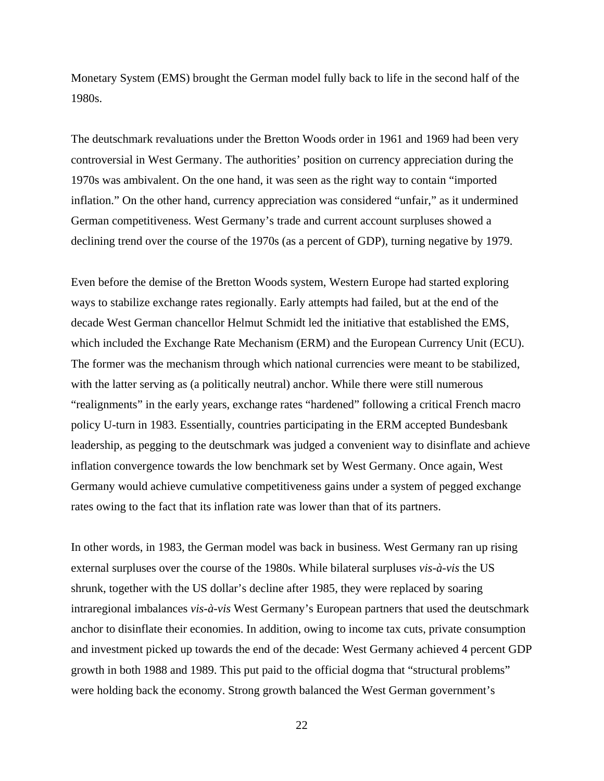Monetary System (EMS) brought the German model fully back to life in the second half of the 1980s.

The deutschmark revaluations under the Bretton Woods order in 1961 and 1969 had been very controversial in West Germany. The authorities' position on currency appreciation during the 1970s was ambivalent. On the one hand, it was seen as the right way to contain "imported inflation." On the other hand, currency appreciation was considered "unfair," as it undermined German competitiveness. West Germany's trade and current account surpluses showed a declining trend over the course of the 1970s (as a percent of GDP), turning negative by 1979.

Even before the demise of the Bretton Woods system, Western Europe had started exploring ways to stabilize exchange rates regionally. Early attempts had failed, but at the end of the decade West German chancellor Helmut Schmidt led the initiative that established the EMS, which included the Exchange Rate Mechanism (ERM) and the European Currency Unit (ECU). The former was the mechanism through which national currencies were meant to be stabilized, with the latter serving as (a politically neutral) anchor. While there were still numerous "realignments" in the early years, exchange rates "hardened" following a critical French macro policy U-turn in 1983. Essentially, countries participating in the ERM accepted Bundesbank leadership, as pegging to the deutschmark was judged a convenient way to disinflate and achieve inflation convergence towards the low benchmark set by West Germany. Once again, West Germany would achieve cumulative competitiveness gains under a system of pegged exchange rates owing to the fact that its inflation rate was lower than that of its partners.

In other words, in 1983, the German model was back in business. West Germany ran up rising external surpluses over the course of the 1980s. While bilateral surpluses *vis-à-vis* the US shrunk, together with the US dollar's decline after 1985, they were replaced by soaring intraregional imbalances *vis-à-vis* West Germany's European partners that used the deutschmark anchor to disinflate their economies. In addition, owing to income tax cuts, private consumption and investment picked up towards the end of the decade: West Germany achieved 4 percent GDP growth in both 1988 and 1989. This put paid to the official dogma that "structural problems" were holding back the economy. Strong growth balanced the West German government's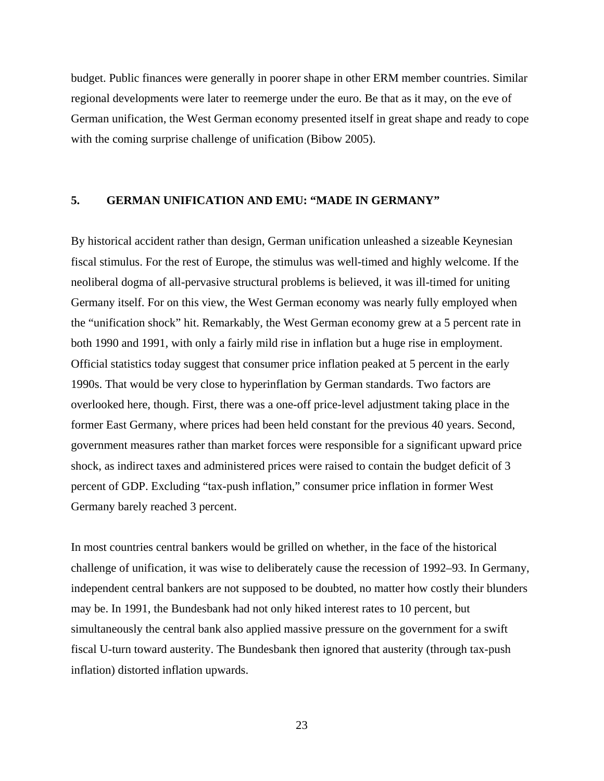budget. Public finances were generally in poorer shape in other ERM member countries. Similar regional developments were later to reemerge under the euro. Be that as it may, on the eve of German unification, the West German economy presented itself in great shape and ready to cope with the coming surprise challenge of unification (Bibow 2005).

#### **5. GERMAN UNIFICATION AND EMU: "MADE IN GERMANY"**

By historical accident rather than design, German unification unleashed a sizeable Keynesian fiscal stimulus. For the rest of Europe, the stimulus was well-timed and highly welcome. If the neoliberal dogma of all-pervasive structural problems is believed, it was ill-timed for uniting Germany itself. For on this view, the West German economy was nearly fully employed when the "unification shock" hit. Remarkably, the West German economy grew at a 5 percent rate in both 1990 and 1991, with only a fairly mild rise in inflation but a huge rise in employment. Official statistics today suggest that consumer price inflation peaked at 5 percent in the early 1990s. That would be very close to hyperinflation by German standards. Two factors are overlooked here, though. First, there was a one-off price-level adjustment taking place in the former East Germany, where prices had been held constant for the previous 40 years. Second, government measures rather than market forces were responsible for a significant upward price shock, as indirect taxes and administered prices were raised to contain the budget deficit of 3 percent of GDP. Excluding "tax-push inflation," consumer price inflation in former West Germany barely reached 3 percent.

In most countries central bankers would be grilled on whether, in the face of the historical challenge of unification, it was wise to deliberately cause the recession of 1992–93. In Germany, independent central bankers are not supposed to be doubted, no matter how costly their blunders may be. In 1991, the Bundesbank had not only hiked interest rates to 10 percent, but simultaneously the central bank also applied massive pressure on the government for a swift fiscal U-turn toward austerity. The Bundesbank then ignored that austerity (through tax-push inflation) distorted inflation upwards.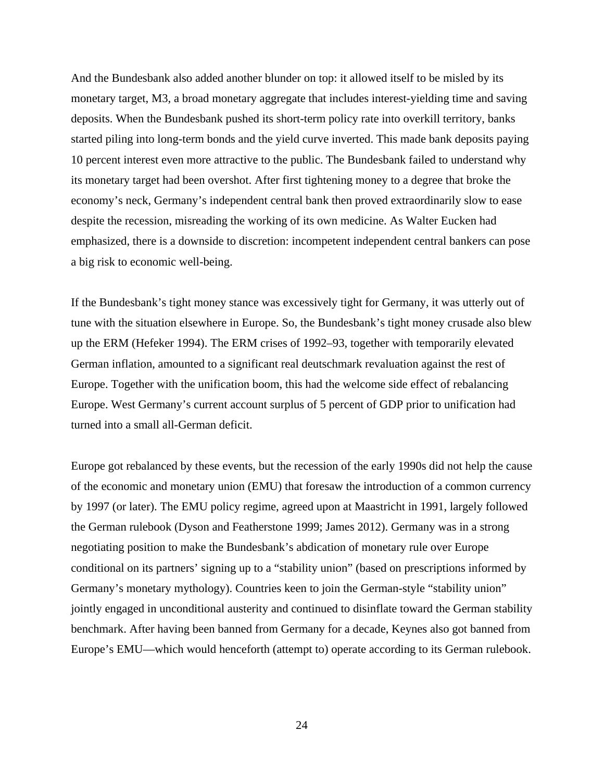And the Bundesbank also added another blunder on top: it allowed itself to be misled by its monetary target, M3, a broad monetary aggregate that includes interest-yielding time and saving deposits. When the Bundesbank pushed its short-term policy rate into overkill territory, banks started piling into long-term bonds and the yield curve inverted. This made bank deposits paying 10 percent interest even more attractive to the public. The Bundesbank failed to understand why its monetary target had been overshot. After first tightening money to a degree that broke the economy's neck, Germany's independent central bank then proved extraordinarily slow to ease despite the recession, misreading the working of its own medicine. As Walter Eucken had emphasized, there is a downside to discretion: incompetent independent central bankers can pose a big risk to economic well-being.

If the Bundesbank's tight money stance was excessively tight for Germany, it was utterly out of tune with the situation elsewhere in Europe. So, the Bundesbank's tight money crusade also blew up the ERM (Hefeker 1994). The ERM crises of 1992–93, together with temporarily elevated German inflation, amounted to a significant real deutschmark revaluation against the rest of Europe. Together with the unification boom, this had the welcome side effect of rebalancing Europe. West Germany's current account surplus of 5 percent of GDP prior to unification had turned into a small all-German deficit.

Europe got rebalanced by these events, but the recession of the early 1990s did not help the cause of the economic and monetary union (EMU) that foresaw the introduction of a common currency by 1997 (or later). The EMU policy regime, agreed upon at Maastricht in 1991, largely followed the German rulebook (Dyson and Featherstone 1999; James 2012). Germany was in a strong negotiating position to make the Bundesbank's abdication of monetary rule over Europe conditional on its partners' signing up to a "stability union" (based on prescriptions informed by Germany's monetary mythology). Countries keen to join the German-style "stability union" jointly engaged in unconditional austerity and continued to disinflate toward the German stability benchmark. After having been banned from Germany for a decade, Keynes also got banned from Europe's EMU—which would henceforth (attempt to) operate according to its German rulebook.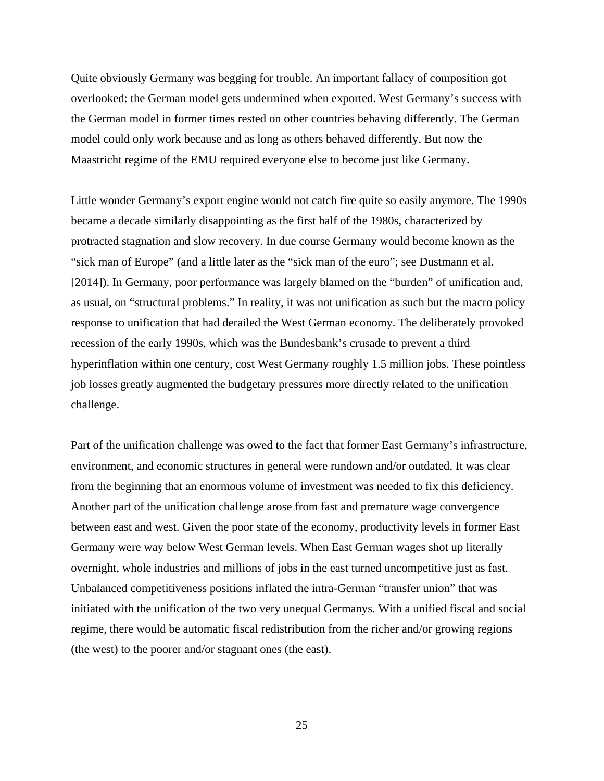Quite obviously Germany was begging for trouble. An important fallacy of composition got overlooked: the German model gets undermined when exported. West Germany's success with the German model in former times rested on other countries behaving differently. The German model could only work because and as long as others behaved differently. But now the Maastricht regime of the EMU required everyone else to become just like Germany.

Little wonder Germany's export engine would not catch fire quite so easily anymore. The 1990s became a decade similarly disappointing as the first half of the 1980s, characterized by protracted stagnation and slow recovery. In due course Germany would become known as the "sick man of Europe" (and a little later as the "sick man of the euro"; see Dustmann et al. [2014]). In Germany, poor performance was largely blamed on the "burden" of unification and, as usual, on "structural problems." In reality, it was not unification as such but the macro policy response to unification that had derailed the West German economy. The deliberately provoked recession of the early 1990s, which was the Bundesbank's crusade to prevent a third hyperinflation within one century, cost West Germany roughly 1.5 million jobs. These pointless job losses greatly augmented the budgetary pressures more directly related to the unification challenge.

Part of the unification challenge was owed to the fact that former East Germany's infrastructure, environment, and economic structures in general were rundown and/or outdated. It was clear from the beginning that an enormous volume of investment was needed to fix this deficiency. Another part of the unification challenge arose from fast and premature wage convergence between east and west. Given the poor state of the economy, productivity levels in former East Germany were way below West German levels. When East German wages shot up literally overnight, whole industries and millions of jobs in the east turned uncompetitive just as fast. Unbalanced competitiveness positions inflated the intra-German "transfer union" that was initiated with the unification of the two very unequal Germanys. With a unified fiscal and social regime, there would be automatic fiscal redistribution from the richer and/or growing regions (the west) to the poorer and/or stagnant ones (the east).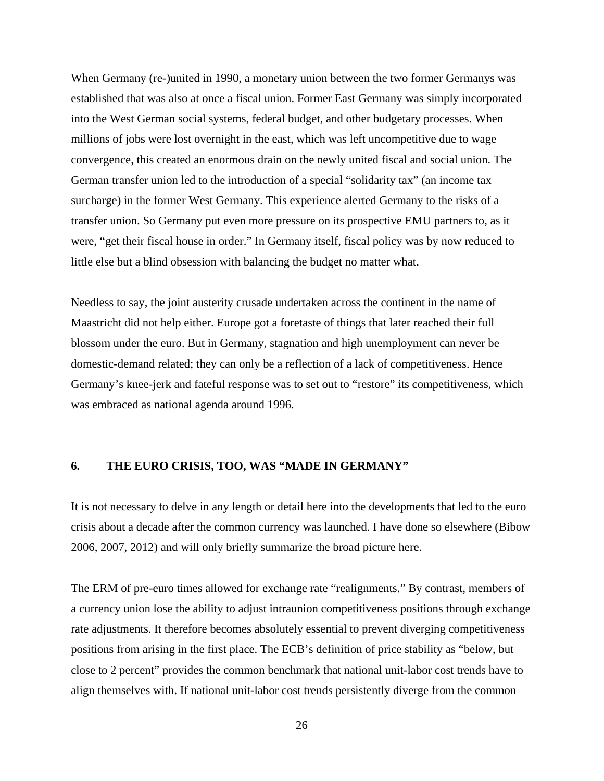When Germany (re-)united in 1990, a monetary union between the two former Germanys was established that was also at once a fiscal union. Former East Germany was simply incorporated into the West German social systems, federal budget, and other budgetary processes. When millions of jobs were lost overnight in the east, which was left uncompetitive due to wage convergence, this created an enormous drain on the newly united fiscal and social union. The German transfer union led to the introduction of a special "solidarity tax" (an income tax surcharge) in the former West Germany. This experience alerted Germany to the risks of a transfer union. So Germany put even more pressure on its prospective EMU partners to, as it were, "get their fiscal house in order." In Germany itself, fiscal policy was by now reduced to little else but a blind obsession with balancing the budget no matter what.

Needless to say, the joint austerity crusade undertaken across the continent in the name of Maastricht did not help either. Europe got a foretaste of things that later reached their full blossom under the euro. But in Germany, stagnation and high unemployment can never be domestic-demand related; they can only be a reflection of a lack of competitiveness. Hence Germany's knee-jerk and fateful response was to set out to "restore" its competitiveness, which was embraced as national agenda around 1996.

#### **6. THE EURO CRISIS, TOO, WAS "MADE IN GERMANY"**

It is not necessary to delve in any length or detail here into the developments that led to the euro crisis about a decade after the common currency was launched. I have done so elsewhere (Bibow 2006, 2007, 2012) and will only briefly summarize the broad picture here.

The ERM of pre-euro times allowed for exchange rate "realignments." By contrast, members of a currency union lose the ability to adjust intraunion competitiveness positions through exchange rate adjustments. It therefore becomes absolutely essential to prevent diverging competitiveness positions from arising in the first place. The ECB's definition of price stability as "below, but close to 2 percent" provides the common benchmark that national unit-labor cost trends have to align themselves with. If national unit-labor cost trends persistently diverge from the common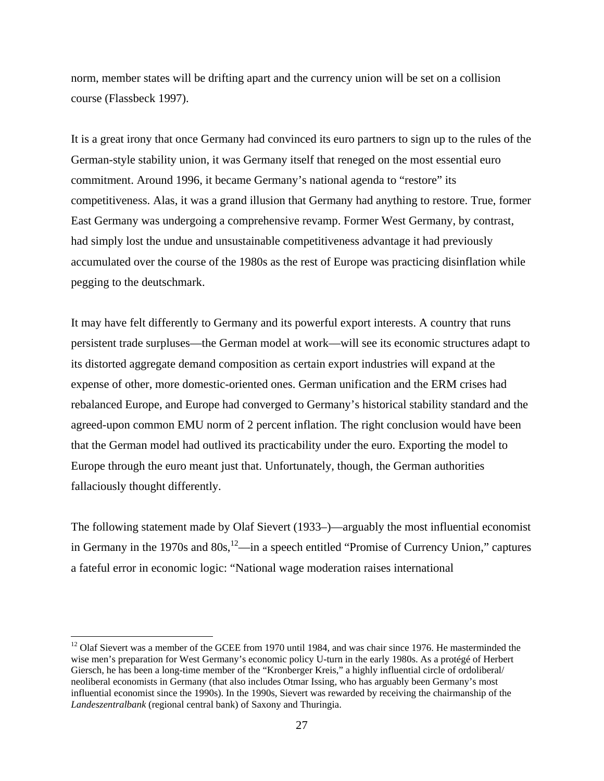norm, member states will be drifting apart and the currency union will be set on a collision course (Flassbeck 1997).

It is a great irony that once Germany had convinced its euro partners to sign up to the rules of the German-style stability union, it was Germany itself that reneged on the most essential euro commitment. Around 1996, it became Germany's national agenda to "restore" its competitiveness. Alas, it was a grand illusion that Germany had anything to restore. True, former East Germany was undergoing a comprehensive revamp. Former West Germany, by contrast, had simply lost the undue and unsustainable competitiveness advantage it had previously accumulated over the course of the 1980s as the rest of Europe was practicing disinflation while pegging to the deutschmark.

It may have felt differently to Germany and its powerful export interests. A country that runs persistent trade surpluses—the German model at work—will see its economic structures adapt to its distorted aggregate demand composition as certain export industries will expand at the expense of other, more domestic-oriented ones. German unification and the ERM crises had rebalanced Europe, and Europe had converged to Germany's historical stability standard and the agreed-upon common EMU norm of 2 percent inflation. The right conclusion would have been that the German model had outlived its practicability under the euro. Exporting the model to Europe through the euro meant just that. Unfortunately, though, the German authorities fallaciously thought differently.

The following statement made by Olaf Sievert (1933–)—arguably the most influential economist in Germany in the 1970s and  $80s$ ,  $^{12}$ —in a speech entitled "Promise of Currency Union," captures a fateful error in economic logic: "National wage moderation raises international

 $12$  Olaf Sievert was a member of the GCEE from 1970 until 1984, and was chair since 1976. He masterminded the wise men's preparation for West Germany's economic policy U-turn in the early 1980s. As a protégé of Herbert Giersch, he has been a long-time member of the "Kronberger Kreis," a highly influential circle of ordoliberal/ neoliberal economists in Germany (that also includes Otmar Issing, who has arguably been Germany's most influential economist since the 1990s). In the 1990s, Sievert was rewarded by receiving the chairmanship of the *Landeszentralbank* (regional central bank) of Saxony and Thuringia.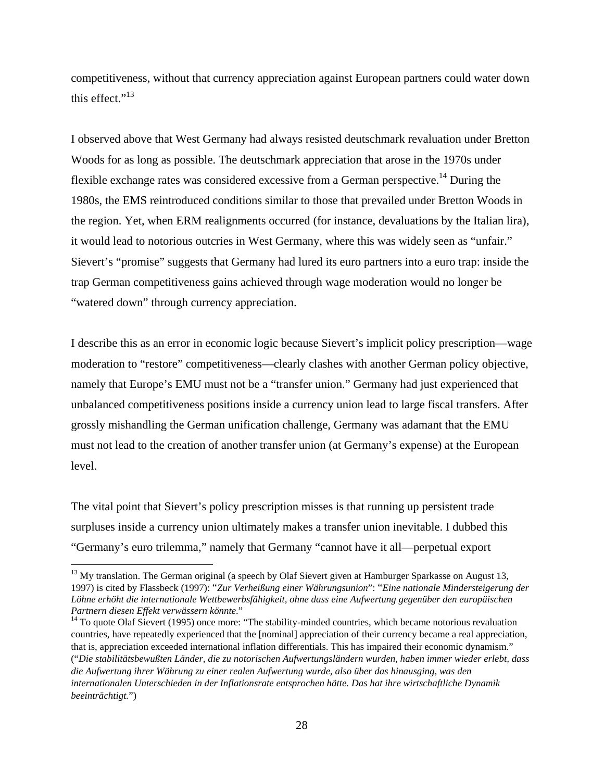competitiveness, without that currency appreciation against European partners could water down this effect." $^{13}$ 

I observed above that West Germany had always resisted deutschmark revaluation under Bretton Woods for as long as possible. The deutschmark appreciation that arose in the 1970s under flexible exchange rates was considered excessive from a German perspective.<sup>14</sup> During the 1980s, the EMS reintroduced conditions similar to those that prevailed under Bretton Woods in the region. Yet, when ERM realignments occurred (for instance, devaluations by the Italian lira), it would lead to notorious outcries in West Germany, where this was widely seen as "unfair." Sievert's "promise" suggests that Germany had lured its euro partners into a euro trap: inside the trap German competitiveness gains achieved through wage moderation would no longer be "watered down" through currency appreciation.

I describe this as an error in economic logic because Sievert's implicit policy prescription—wage moderation to "restore" competitiveness—clearly clashes with another German policy objective, namely that Europe's EMU must not be a "transfer union." Germany had just experienced that unbalanced competitiveness positions inside a currency union lead to large fiscal transfers. After grossly mishandling the German unification challenge, Germany was adamant that the EMU must not lead to the creation of another transfer union (at Germany's expense) at the European level.

The vital point that Sievert's policy prescription misses is that running up persistent trade surpluses inside a currency union ultimately makes a transfer union inevitable. I dubbed this "Germany's euro trilemma," namely that Germany "cannot have it all—perpetual export

 $13$  My translation. The German original (a speech by Olaf Sievert given at Hamburger Sparkasse on August 13, 1997) is cited by Flassbeck (1997): "*Zur Verheißung einer Währungsunion*": "*Eine nationale Mindersteigerung der Löhne erhöht die internationale Wettbewerbsfähigkeit, ohne dass eine Aufwertung gegenüber den europäischen Partnern diesen Effekt verwässern könnte.*"<br><sup>14</sup> To quote Olaf Sievert (1995) once more: "The stability-minded countries, which became notorious revaluation

countries, have repeatedly experienced that the [nominal] appreciation of their currency became a real appreciation, that is, appreciation exceeded international inflation differentials. This has impaired their economic dynamism." ("*Die stabilitätsbewußten Länder, die zu notorischen Aufwertungsländern wurden, haben immer wieder erlebt, dass die Aufwertung ihrer Währung zu einer realen Aufwertung wurde, also über das hinausging, was den internationalen Unterschieden in der Inflationsrate entsprochen hätte. Das hat ihre wirtschaftliche Dynamik beeinträchtigt.*")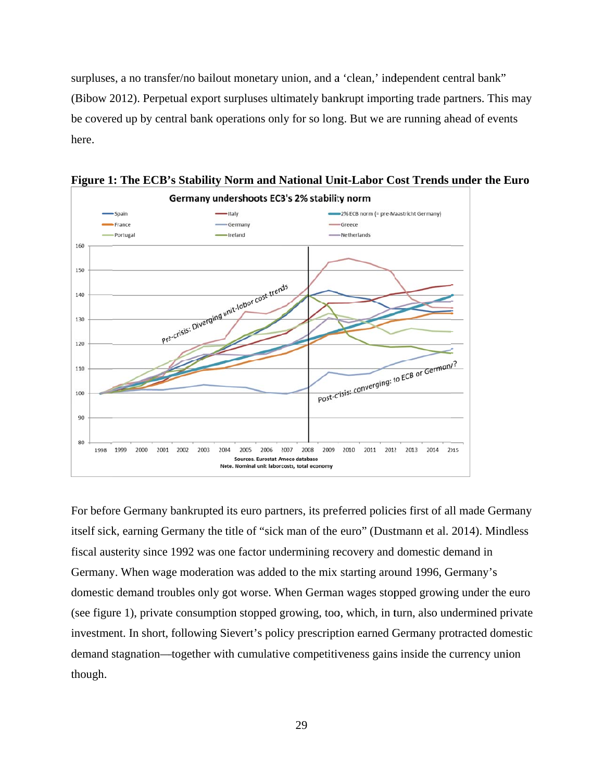surpluses, a no transfer/no bailout monetary union, and a 'clean,' independent central bank" (Bibow 2012). Perpetual export surpluses ultimately bankrupt importing trade partners. This may be covered up by central bank operations only for so long. But we are running ahead of events here.



**Figure 1 : The ECB' 's Stability N Norm and N National Un nit-Labor C ost Trends under the E Euro** 

For before Germany bankrupted its euro partners, its preferred policies first of all made Germany itself sick, earning Germany the title of "sick man of the euro" (Dustmann et al. 2014). Mindless fiscal austerity since 1992 was one factor undermining recovery and domestic demand in Germany. When wage moderation was added to the mix starting around 1996, Germany's domestic demand troubles only got worse. When German wages stopped growing under the euro (see figure 1), private consumption stopped growing, too, which, in turn, also undermined private investment. In short, following Sievert's policy prescription earned Germany protracted domestic demand stagnation—together with cumulative competitiveness gains inside the currency union though.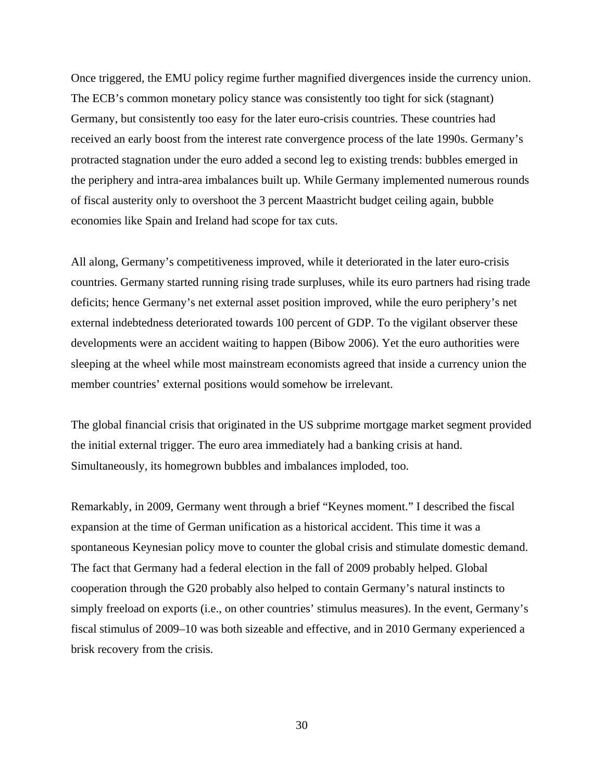Once triggered, the EMU policy regime further magnified divergences inside the currency union. The ECB's common monetary policy stance was consistently too tight for sick (stagnant) Germany, but consistently too easy for the later euro-crisis countries. These countries had received an early boost from the interest rate convergence process of the late 1990s. Germany's protracted stagnation under the euro added a second leg to existing trends: bubbles emerged in the periphery and intra-area imbalances built up. While Germany implemented numerous rounds of fiscal austerity only to overshoot the 3 percent Maastricht budget ceiling again, bubble economies like Spain and Ireland had scope for tax cuts.

All along, Germany's competitiveness improved, while it deteriorated in the later euro-crisis countries. Germany started running rising trade surpluses, while its euro partners had rising trade deficits; hence Germany's net external asset position improved, while the euro periphery's net external indebtedness deteriorated towards 100 percent of GDP. To the vigilant observer these developments were an accident waiting to happen (Bibow 2006). Yet the euro authorities were sleeping at the wheel while most mainstream economists agreed that inside a currency union the member countries' external positions would somehow be irrelevant.

The global financial crisis that originated in the US subprime mortgage market segment provided the initial external trigger. The euro area immediately had a banking crisis at hand. Simultaneously, its homegrown bubbles and imbalances imploded, too.

Remarkably, in 2009, Germany went through a brief "Keynes moment." I described the fiscal expansion at the time of German unification as a historical accident. This time it was a spontaneous Keynesian policy move to counter the global crisis and stimulate domestic demand. The fact that Germany had a federal election in the fall of 2009 probably helped. Global cooperation through the G20 probably also helped to contain Germany's natural instincts to simply freeload on exports (i.e., on other countries' stimulus measures). In the event, Germany's fiscal stimulus of 2009–10 was both sizeable and effective, and in 2010 Germany experienced a brisk recovery from the crisis.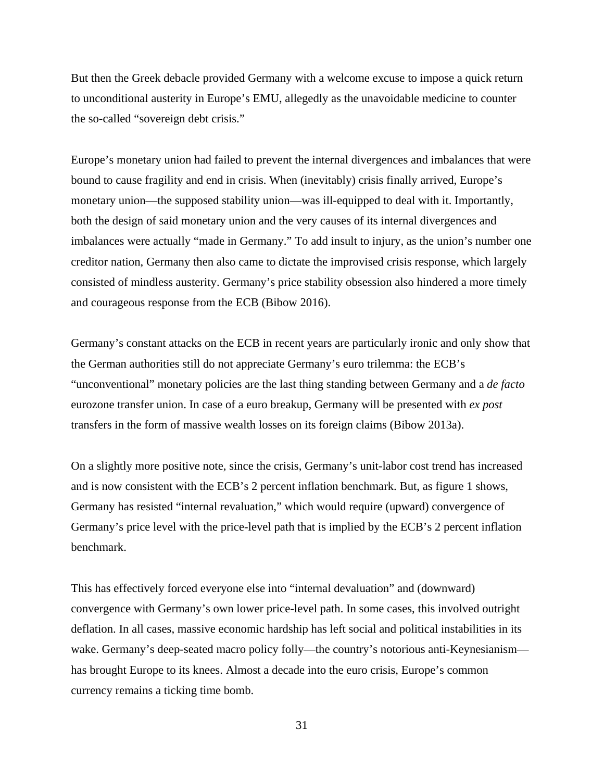But then the Greek debacle provided Germany with a welcome excuse to impose a quick return to unconditional austerity in Europe's EMU, allegedly as the unavoidable medicine to counter the so-called "sovereign debt crisis."

Europe's monetary union had failed to prevent the internal divergences and imbalances that were bound to cause fragility and end in crisis. When (inevitably) crisis finally arrived, Europe's monetary union—the supposed stability union—was ill-equipped to deal with it. Importantly, both the design of said monetary union and the very causes of its internal divergences and imbalances were actually "made in Germany." To add insult to injury, as the union's number one creditor nation, Germany then also came to dictate the improvised crisis response, which largely consisted of mindless austerity. Germany's price stability obsession also hindered a more timely and courageous response from the ECB (Bibow 2016).

Germany's constant attacks on the ECB in recent years are particularly ironic and only show that the German authorities still do not appreciate Germany's euro trilemma: the ECB's "unconventional" monetary policies are the last thing standing between Germany and a *de facto* eurozone transfer union. In case of a euro breakup, Germany will be presented with *ex post* transfers in the form of massive wealth losses on its foreign claims (Bibow 2013a).

On a slightly more positive note, since the crisis, Germany's unit-labor cost trend has increased and is now consistent with the ECB's 2 percent inflation benchmark. But, as figure 1 shows, Germany has resisted "internal revaluation," which would require (upward) convergence of Germany's price level with the price-level path that is implied by the ECB's 2 percent inflation benchmark.

This has effectively forced everyone else into "internal devaluation" and (downward) convergence with Germany's own lower price-level path. In some cases, this involved outright deflation. In all cases, massive economic hardship has left social and political instabilities in its wake. Germany's deep-seated macro policy folly—the country's notorious anti-Keynesianism has brought Europe to its knees. Almost a decade into the euro crisis, Europe's common currency remains a ticking time bomb.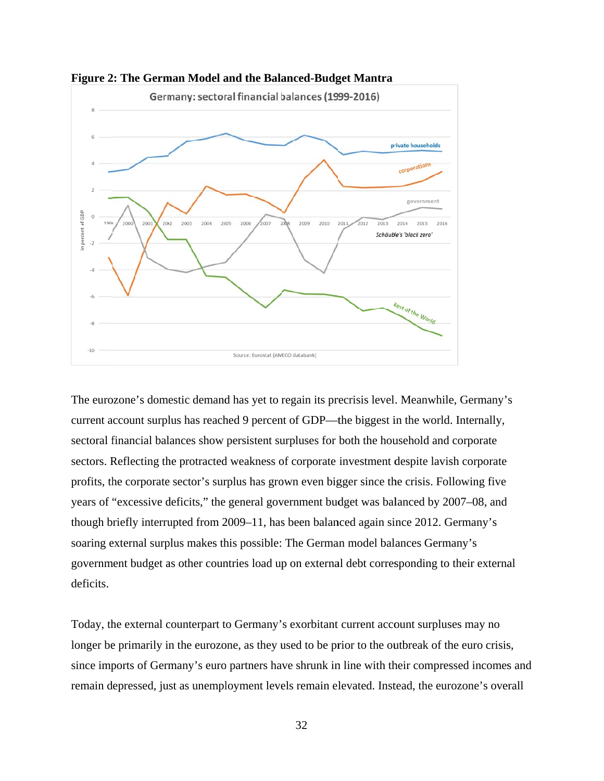

**Figure 2: The German Model and the Balanced-Budget Mantra** 

The eurozone's domestic demand has yet to regain its precrisis level. Meanwhile, Germany's current account surplus has reached 9 percent of GDP—the biggest in the world. Internally, sectoral financial balances show persistent surpluses for both the household and corporate sectors. Reflecting the protracted weakness of corporate investment despite lavish corporate profits, the corporate sector's surplus has grown even bigger since the crisis. Following five years of "excessive deficits," the general government budget was balanced by 2007–08, and though briefly interrupted from 2009–11, has been balanced again since 2012. Germany's soaring external surplus makes this possible: The German model balances Germany's government budget as other countries load up on external debt corresponding to their external deficits.

Today, the external counterpart to Germany's exorbitant current account surpluses may no longer be primarily in the eurozone, as they used to be prior to the outbreak of the euro crisis, since imports of Germany's euro partners have shrunk in line with their compressed incomes and remain depressed, just as unemployment levels remain elevated. Instead, the eurozone's overall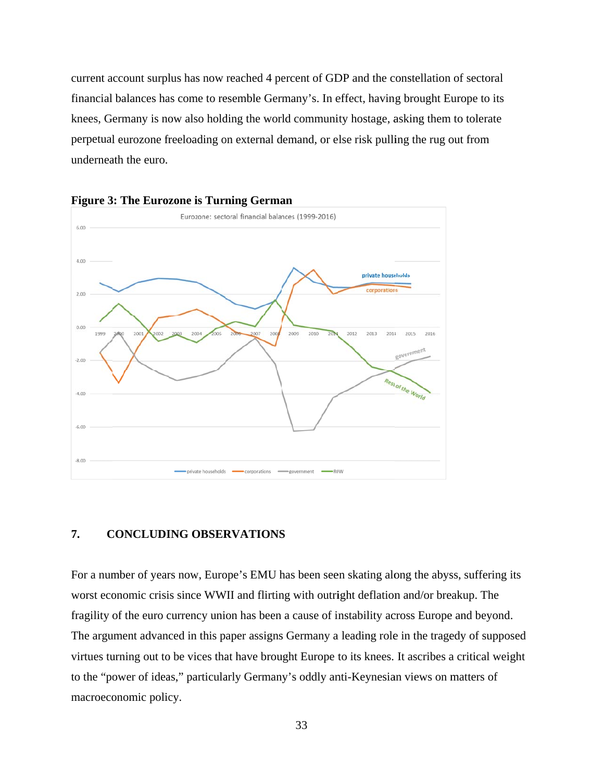current account surplus has now reached 4 percent of GDP and the constellation of sectoral financial balances has come to resemble Germany's. In effect, having brought Europe to its knees, Germany is now also holding the world community hostage, asking them to tolerate perpetual eurozone freeloading on external demand, or else risk pulling the rug out from underneath the euro.





#### $\overline{7}$ . **CONCLUDI ING OBSER RVATIONS S**

For a number of years now, Europe's EMU has been seen skating along the abyss, suffering its worst economic crisis since WWII and flirting with outright deflation and/or breakup. The fragility of the euro currency union has been a cause of instability across Europe and beyond. The argument advanced in this paper assigns Germany a leading role in the tragedy of supposed virtues turning out to be vices that have brought Europe to its knees. It ascribes a critical weight to the "power of ideas," particularly Germany's oddly anti-Keynesian views on matters of macroeconomic policy.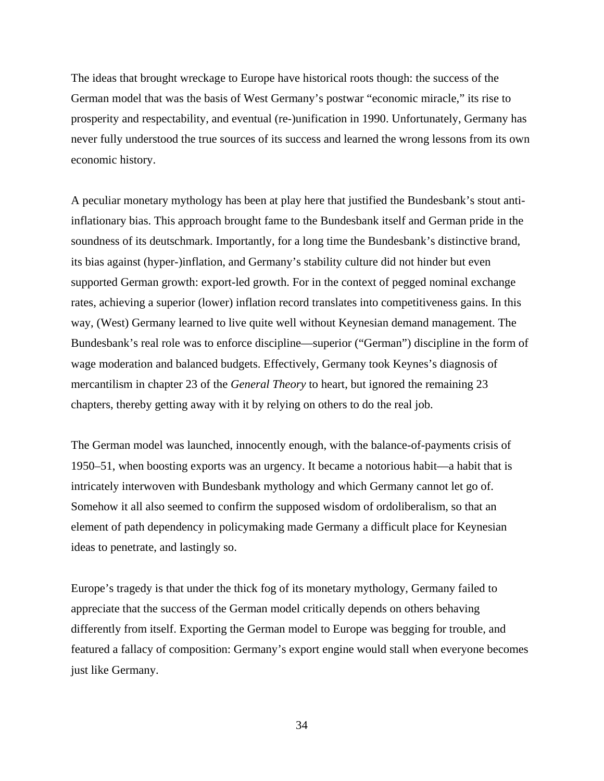The ideas that brought wreckage to Europe have historical roots though: the success of the German model that was the basis of West Germany's postwar "economic miracle," its rise to prosperity and respectability, and eventual (re-)unification in 1990. Unfortunately, Germany has never fully understood the true sources of its success and learned the wrong lessons from its own economic history.

A peculiar monetary mythology has been at play here that justified the Bundesbank's stout antiinflationary bias. This approach brought fame to the Bundesbank itself and German pride in the soundness of its deutschmark. Importantly, for a long time the Bundesbank's distinctive brand, its bias against (hyper-)inflation, and Germany's stability culture did not hinder but even supported German growth: export-led growth. For in the context of pegged nominal exchange rates, achieving a superior (lower) inflation record translates into competitiveness gains. In this way, (West) Germany learned to live quite well without Keynesian demand management. The Bundesbank's real role was to enforce discipline—superior ("German") discipline in the form of wage moderation and balanced budgets. Effectively, Germany took Keynes's diagnosis of mercantilism in chapter 23 of the *General Theory* to heart, but ignored the remaining 23 chapters, thereby getting away with it by relying on others to do the real job.

The German model was launched, innocently enough, with the balance-of-payments crisis of 1950–51, when boosting exports was an urgency. It became a notorious habit—a habit that is intricately interwoven with Bundesbank mythology and which Germany cannot let go of. Somehow it all also seemed to confirm the supposed wisdom of ordoliberalism, so that an element of path dependency in policymaking made Germany a difficult place for Keynesian ideas to penetrate, and lastingly so.

Europe's tragedy is that under the thick fog of its monetary mythology, Germany failed to appreciate that the success of the German model critically depends on others behaving differently from itself. Exporting the German model to Europe was begging for trouble, and featured a fallacy of composition: Germany's export engine would stall when everyone becomes just like Germany.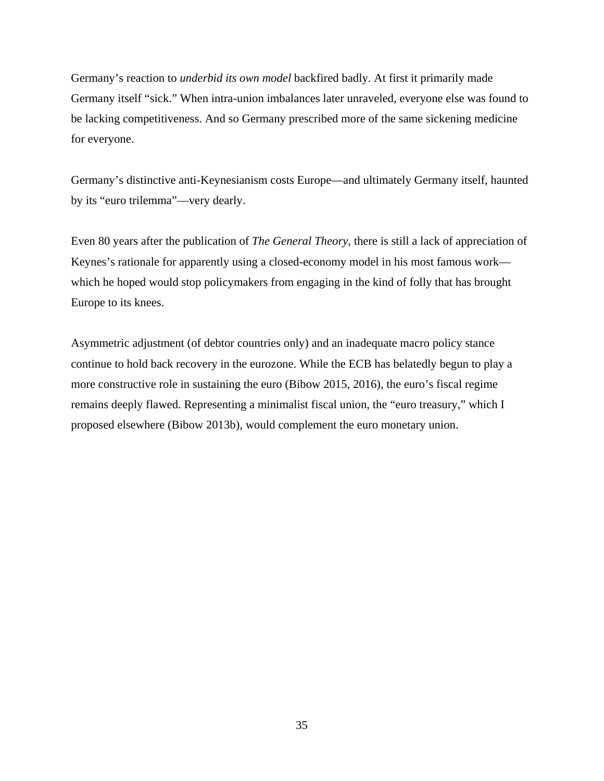Germany's reaction to *underbid its own model* backfired badly. At first it primarily made Germany itself "sick." When intra-union imbalances later unraveled, everyone else was found to be lacking competitiveness. And so Germany prescribed more of the same sickening medicine for everyone.

Germany's distinctive anti-Keynesianism costs Europe—and ultimately Germany itself, haunted by its "euro trilemma"—very dearly.

Even 80 years after the publication of *The General Theory*, there is still a lack of appreciation of Keynes's rationale for apparently using a closed-economy model in his most famous work which he hoped would stop policymakers from engaging in the kind of folly that has brought Europe to its knees.

Asymmetric adjustment (of debtor countries only) and an inadequate macro policy stance continue to hold back recovery in the eurozone. While the ECB has belatedly begun to play a more constructive role in sustaining the euro (Bibow 2015, 2016), the euro's fiscal regime remains deeply flawed. Representing a minimalist fiscal union, the "euro treasury," which I proposed elsewhere (Bibow 2013b), would complement the euro monetary union.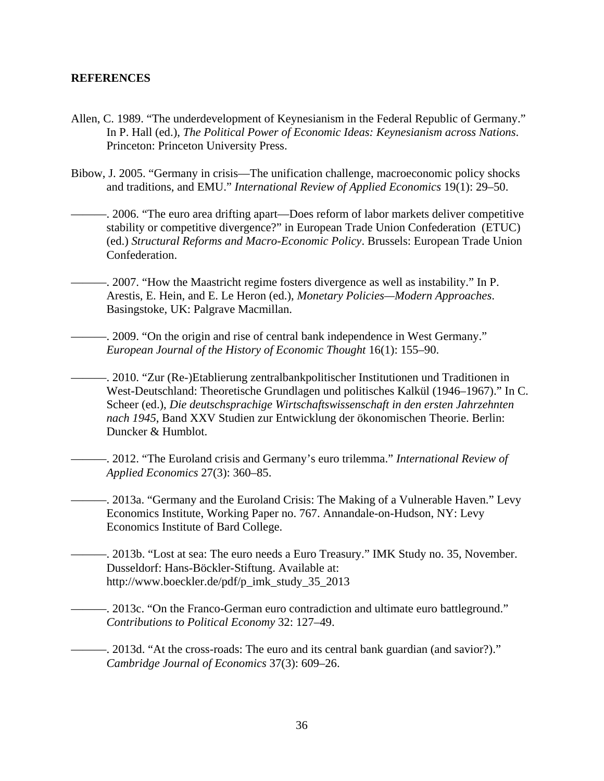## **REFERENCES**

- Allen, C. 1989. "The underdevelopment of Keynesianism in the Federal Republic of Germany." In P. Hall (ed.), *The Political Power of Economic Ideas: Keynesianism across Nations*. Princeton: Princeton University Press.
- Bibow, J. 2005. "Germany in crisis—The unification challenge, macroeconomic policy shocks and traditions, and EMU." *International Review of Applied Economics* 19(1): 29–50.
	- ———. 2006. "The euro area drifting apart—Does reform of labor markets deliver competitive stability or competitive divergence?" in European Trade Union Confederation (ETUC) (ed.) *Structural Reforms and Macro-Economic Policy*. Brussels: European Trade Union Confederation.
	- ———. 2007. "How the Maastricht regime fosters divergence as well as instability." In P. Arestis, E. Hein, and E. Le Heron (ed.), *Monetary Policies—Modern Approaches*. Basingstoke, UK: Palgrave Macmillan.
		- -. 2009. "On the origin and rise of central bank independence in West Germany." *European Journal of the History of Economic Thought* 16(1): 155–90.
	- ———. 2010. "Zur (Re-)Etablierung zentralbankpolitischer Institutionen und Traditionen in West-Deutschland: Theoretische Grundlagen und politisches Kalkül (1946–1967)." In C. Scheer (ed.), *Die deutschsprachige Wirtschaftswissenschaft in den ersten Jahrzehnten nach 1945*, Band XXV Studien zur Entwicklung der ökonomischen Theorie. Berlin: Duncker & Humblot.
	- ———. 2012. "The Euroland crisis and Germany's euro trilemma." *International Review of Applied Economics* 27(3): 360–85.
		- ———. 2013a. "Germany and the Euroland Crisis: The Making of a Vulnerable Haven." Levy Economics Institute, Working Paper no. 767. Annandale-on-Hudson, NY: Levy Economics Institute of Bard College.
- ———. 2013b. "Lost at sea: The euro needs a Euro Treasury." IMK Study no. 35, November. Dusseldorf: Hans-Böckler-Stiftung. Available at: http://www.boeckler.de/pdf/p\_imk\_study\_35\_2013
	- ———. 2013c. "On the Franco-German euro contradiction and ultimate euro battleground." *Contributions to Political Economy* 32: 127–49.
	- ———. 2013d. "At the cross-roads: The euro and its central bank guardian (and savior?)." *Cambridge Journal of Economics* 37(3): 609–26.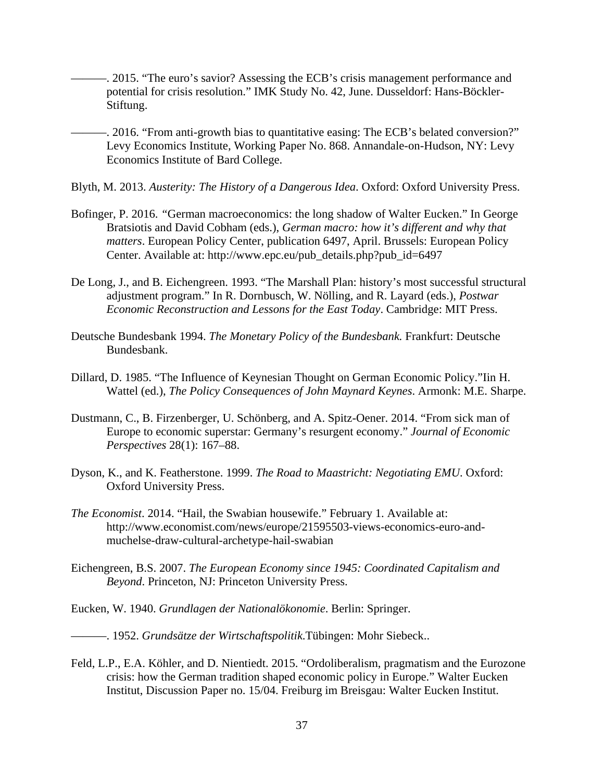- ———. 2015. "The euro's savior? Assessing the ECB's crisis management performance and potential for crisis resolution." IMK Study No. 42, June. Dusseldorf: Hans-Böckler-Stiftung.
- -. 2016. "From anti-growth bias to quantitative easing: The ECB's belated conversion?" Levy Economics Institute, Working Paper No. 868. Annandale-on-Hudson, NY: Levy Economics Institute of Bard College.
- Blyth, M. 2013. *Austerity: The History of a Dangerous Idea*. Oxford: Oxford University Press.
- Bofinger, P. 2016. *"*German macroeconomics: the long shadow of Walter Eucken." In George Bratsiotis and David Cobham (eds.), *German macro: how it's different and why that matters*. European Policy Center, publication 6497, April. Brussels: European Policy Center. Available at: http://www.epc.eu/pub\_details.php?pub\_id=6497
- De Long, J., and B. Eichengreen. 1993. "The Marshall Plan: history's most successful structural adjustment program." In R. Dornbusch, W. Nölling, and R. Layard (eds.), *Postwar Economic Reconstruction and Lessons for the East Today*. Cambridge: MIT Press.
- Deutsche Bundesbank 1994. *The Monetary Policy of the Bundesbank.* Frankfurt: Deutsche Bundesbank.
- Dillard, D. 1985. "The Influence of Keynesian Thought on German Economic Policy."Iin H. Wattel (ed.), *The Policy Consequences of John Maynard Keynes*. Armonk: M.E. Sharpe.
- Dustmann, C., B. Firzenberger, U. Schönberg, and A. Spitz-Oener. 2014. "From sick man of Europe to economic superstar: Germany's resurgent economy." *Journal of Economic Perspectives* 28(1): 167–88.
- Dyson, K., and K. Featherstone. 1999. *The Road to Maastricht: Negotiating EMU*. Oxford: Oxford University Press.
- *The Economist*. 2014. "Hail, the Swabian housewife." February 1. Available at: http://www.economist.com/news/europe/21595503-views-economics-euro-andmuchelse-draw-cultural-archetype-hail-swabian
- Eichengreen, B.S. 2007. *The European Economy since 1945: Coordinated Capitalism and Beyond*. Princeton, NJ: Princeton University Press.
- Eucken, W. 1940. *Grundlagen der Nationalökonomie*. Berlin: Springer.
- ———. 1952. *Grundsätze der Wirtschaftspolitik*.Tübingen: Mohr Siebeck..
- Feld, L.P., E.A. Köhler, and D. Nientiedt. 2015. "Ordoliberalism, pragmatism and the Eurozone crisis: how the German tradition shaped economic policy in Europe." Walter Eucken Institut, Discussion Paper no. 15/04. Freiburg im Breisgau: Walter Eucken Institut.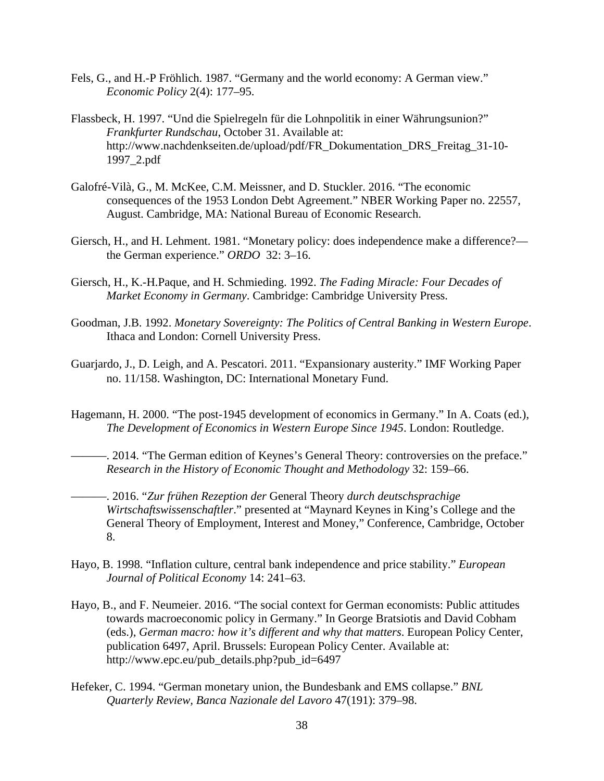- Fels, G., and H.-P Fröhlich. 1987. "Germany and the world economy: A German view." *Economic Policy* 2(4): 177–95.
- Flassbeck, H. 1997. "Und die Spielregeln für die Lohnpolitik in einer Währungsunion?" *Frankfurter Rundschau*, October 31. Available at: http://www.nachdenkseiten.de/upload/pdf/FR\_Dokumentation\_DRS\_Freitag\_31-10- 1997\_2.pdf
- Galofré-Vilà, G., M. McKee, C.M. Meissner, and D. Stuckler. 2016. "The economic consequences of the 1953 London Debt Agreement." NBER Working Paper no. 22557, August. Cambridge, MA: National Bureau of Economic Research.
- Giersch, H., and H. Lehment. 1981. "Monetary policy: does independence make a difference? the German experience." *ORDO* 32: 3–16.
- Giersch, H., K.-H.Paque, and H. Schmieding. 1992. *The Fading Miracle: Four Decades of Market Economy in Germany*. Cambridge: Cambridge University Press.
- Goodman, J.B. 1992. *Monetary Sovereignty: The Politics of Central Banking in Western Europe*. Ithaca and London: Cornell University Press.
- Guarjardo, J., D. Leigh, and A. Pescatori. 2011. "Expansionary austerity." IMF Working Paper no. 11/158. Washington, DC: International Monetary Fund.
- Hagemann, H. 2000. "The post-1945 development of economics in Germany." In A. Coats (ed.), *The Development of Economics in Western Europe Since 1945*. London: Routledge.
- -. 2014. "The German edition of Keynes's General Theory: controversies on the preface." *Research in the History of Economic Thought and Methodology* 32: 159–66.
- ———. 2016. "*Zur frühen Rezeption der* General Theory *durch deutschsprachige Wirtschaftswissenschaftler*." presented at "Maynard Keynes in King's College and the General Theory of Employment, Interest and Money," Conference, Cambridge, October 8.
- Hayo, B. 1998. "Inflation culture, central bank independence and price stability." *European Journal of Political Economy* 14: 241–63.
- Hayo, B., and F. Neumeier. 2016. "The social context for German economists: Public attitudes towards macroeconomic policy in Germany." In George Bratsiotis and David Cobham (eds.), *German macro: how it's different and why that matters*. European Policy Center, publication 6497, April. Brussels: European Policy Center. Available at: http://www.epc.eu/pub\_details.php?pub\_id=6497
- Hefeker, C. 1994. "German monetary union, the Bundesbank and EMS collapse." *BNL Quarterly Review, Banca Nazionale del Lavoro* 47(191): 379–98.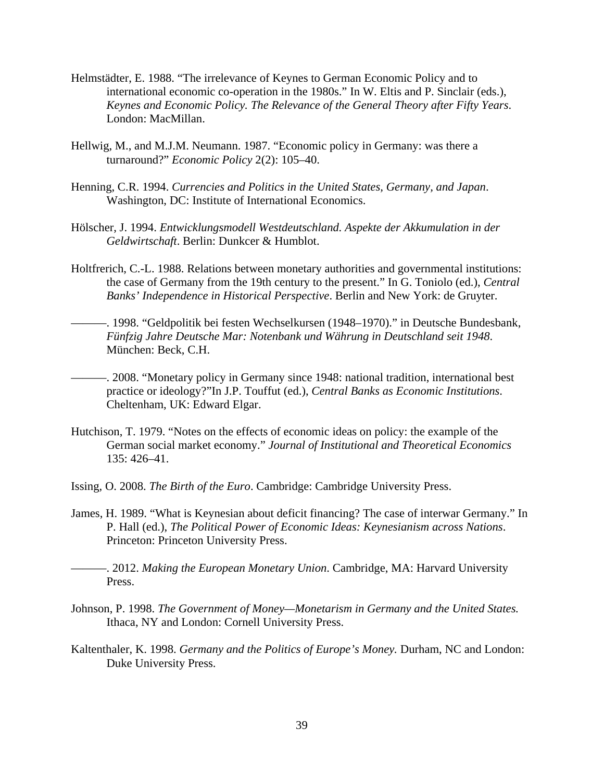- Helmstädter, E. 1988. "The irrelevance of Keynes to German Economic Policy and to international economic co-operation in the 1980s." In W. Eltis and P. Sinclair (eds.), *Keynes and Economic Policy. The Relevance of the General Theory after Fifty Years*. London: MacMillan.
- Hellwig, M., and M.J.M. Neumann. 1987. "Economic policy in Germany: was there a turnaround?" *Economic Policy* 2(2): 105–40.
- Henning, C.R. 1994. *Currencies and Politics in the United States, Germany, and Japan*. Washington, DC: Institute of International Economics.
- Hölscher, J. 1994. *Entwicklungsmodell Westdeutschland. Aspekte der Akkumulation in der Geldwirtschaft*. Berlin: Dunkcer & Humblot.
- Holtfrerich, C.-L. 1988. Relations between monetary authorities and governmental institutions: the case of Germany from the 19th century to the present." In G. Toniolo (ed.), *Central Banks' Independence in Historical Perspective*. Berlin and New York: de Gruyter.
- ———. 1998. "Geldpolitik bei festen Wechselkursen (1948–1970)." in Deutsche Bundesbank, *Fünfzig Jahre Deutsche Mar: Notenbank und Währung in Deutschland seit 1948*. München: Beck, C.H.
- ———. 2008. "Monetary policy in Germany since 1948: national tradition, international best practice or ideology?"In J.P. Touffut (ed.), *Central Banks as Economic Institutions*. Cheltenham, UK: Edward Elgar.
- Hutchison, T. 1979. "Notes on the effects of economic ideas on policy: the example of the German social market economy." *Journal of Institutional and Theoretical Economics* 135: 426–41.
- Issing, O. 2008. *The Birth of the Euro*. Cambridge: Cambridge University Press.
- James, H. 1989. "What is Keynesian about deficit financing? The case of interwar Germany." In P. Hall (ed.), *The Political Power of Economic Ideas: Keynesianism across Nations*. Princeton: Princeton University Press.
	- ———. 2012. *Making the European Monetary Union*. Cambridge, MA: Harvard University Press.
- Johnson, P. 1998. *The Government of Money—Monetarism in Germany and the United States.* Ithaca, NY and London: Cornell University Press.
- Kaltenthaler, K. 1998. *Germany and the Politics of Europe's Money.* Durham, NC and London: Duke University Press.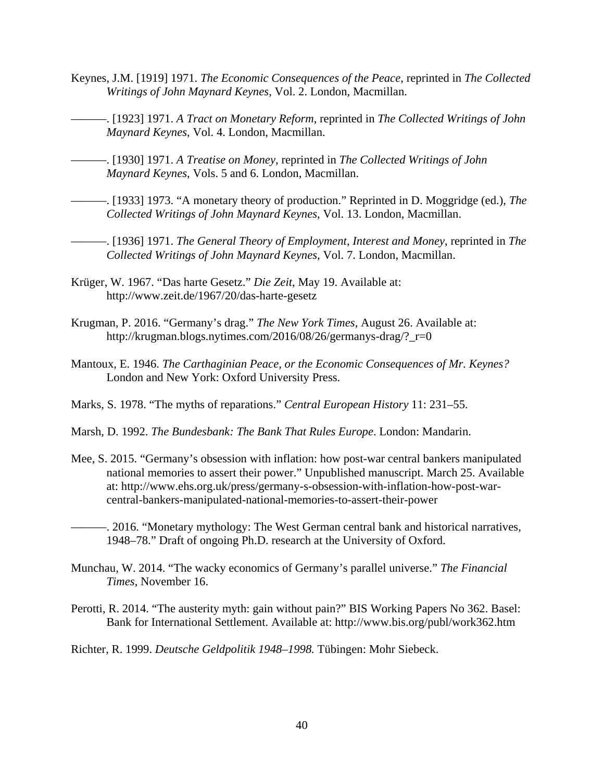- Keynes, J.M. [1919] 1971. *The Economic Consequences of the Peace*, reprinted in *The Collected Writings of John Maynard Keynes*, Vol. 2. London, Macmillan.
- ———. [1923] 1971. *A Tract on Monetary Reform*, reprinted in *The Collected Writings of John Maynard Keynes*, Vol. 4. London, Macmillan.
- ———. [1930] 1971. *A Treatise on Money*, reprinted in *The Collected Writings of John Maynard Keynes*, Vols. 5 and 6. London, Macmillan.
- ———. [1933] 1973. "A monetary theory of production." Reprinted in D. Moggridge (ed.), *The Collected Writings of John Maynard Keynes*, Vol. 13. London, Macmillan.
- ———. [1936] 1971. *The General Theory of Employment, Interest and Money*, reprinted in *The Collected Writings of John Maynard Keynes,* Vol. 7. London, Macmillan.
- Krüger, W. 1967. "Das harte Gesetz." *Die Zeit*, May 19. Available at: http://www.zeit.de/1967/20/das-harte-gesetz
- Krugman, P. 2016. "Germany's drag." *The New York Times*, August 26. Available at: http://krugman.blogs.nytimes.com/2016/08/26/germanys-drag/?\_r=0
- Mantoux, E. 1946. *The Carthaginian Peace, or the Economic Consequences of Mr. Keynes?* London and New York: Oxford University Press.
- Marks, S. 1978. "The myths of reparations." *Central European History* 11: 231–55.
- Marsh, D. 1992. *The Bundesbank: The Bank That Rules Europe*. London: Mandarin.
- Mee, S. 2015. "Germany's obsession with inflation: how post-war central bankers manipulated national memories to assert their power." Unpublished manuscript. March 25. Available at: http://www.ehs.org.uk/press/germany-s-obsession-with-inflation-how-post-warcentral-bankers-manipulated-national-memories-to-assert-their-power
- -. 2016. "Monetary mythology: The West German central bank and historical narratives, 1948–78." Draft of ongoing Ph.D. research at the University of Oxford.
- Munchau, W. 2014. "The wacky economics of Germany's parallel universe." *The Financial Times*, November 16.
- Perotti, R. 2014. "The austerity myth: gain without pain?" BIS Working Papers No 362. Basel: Bank for International Settlement. Available at: http://www.bis.org/publ/work362.htm
- Richter, R. 1999. *Deutsche Geldpolitik 1948–1998.* Tübingen: Mohr Siebeck.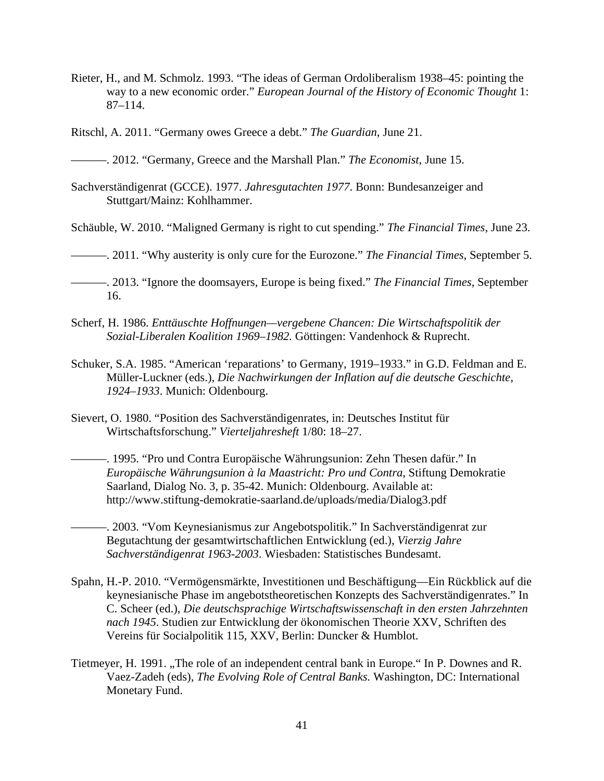Rieter, H., and M. Schmolz. 1993. "The ideas of German Ordoliberalism 1938–45: pointing the way to a new economic order." *European Journal of the History of Economic Thought* 1: 87–114.

Ritschl, A. 2011. "Germany owes Greece a debt." *The Guardian*, June 21.

———. 2012. "Germany, Greece and the Marshall Plan." *The Economist*, June 15.

Sachverständigenrat (GCCE). 1977. *Jahresgutachten 1977*. Bonn: Bundesanzeiger and Stuttgart/Mainz: Kohlhammer.

Schäuble, W. 2010. "Maligned Germany is right to cut spending." *The Financial Times*, June 23.

———. 2011. "Why austerity is only cure for the Eurozone." *The Financial Times*, September 5.

———. 2013. "Ignore the doomsayers, Europe is being fixed." *The Financial Times*, September 16.

- Scherf, H. 1986. *Enttäuschte Hoffnungen—vergebene Chancen: Die Wirtschaftspolitik der Sozial-Liberalen Koalition 1969–1982.* Göttingen: Vandenhock & Ruprecht.
- Schuker, S.A. 1985. "American 'reparations' to Germany, 1919–1933." in G.D. Feldman and E. Müller-Luckner (eds.), *Die Nachwirkungen der Inflation auf die deutsche Geschichte, 1924–1933*. Munich: Oldenbourg.
- Sievert, O. 1980. "Position des Sachverständigenrates, in: Deutsches Institut für Wirtschaftsforschung." *Vierteljahresheft* 1/80: 18–27.

———. 1995. "Pro und Contra Europäische Währungsunion: Zehn Thesen dafür." In *Europäische Währungsunion à la Maastricht: Pro und Contra*, Stiftung Demokratie Saarland, Dialog No. 3, p. 35-42. Munich: Oldenbourg. Available at: http://www.stiftung-demokratie-saarland.de/uploads/media/Dialog3.pdf

———. 2003. "Vom Keynesianismus zur Angebotspolitik." In Sachverständigenrat zur Begutachtung der gesamtwirtschaftlichen Entwicklung (ed.), *Vierzig Jahre Sachverständigenrat 1963-2003*. Wiesbaden: Statistisches Bundesamt.

- Spahn, H.-P. 2010. "Vermögensmärkte, Investitionen und Beschäftigung—Ein Rückblick auf die keynesianische Phase im angebotstheoretischen Konzepts des Sachverständigenrates." In C. Scheer (ed.), *Die deutschsprachige Wirtschaftswissenschaft in den ersten Jahrzehnten nach 1945*. Studien zur Entwicklung der ökonomischen Theorie XXV, Schriften des Vereins für Socialpolitik 115, XXV, Berlin: Duncker & Humblot.
- Tietmeyer, H. 1991. "The role of an independent central bank in Europe." In P. Downes and R. Vaez-Zadeh (eds), *The Evolving Role of Central Banks.* Washington, DC: International Monetary Fund.